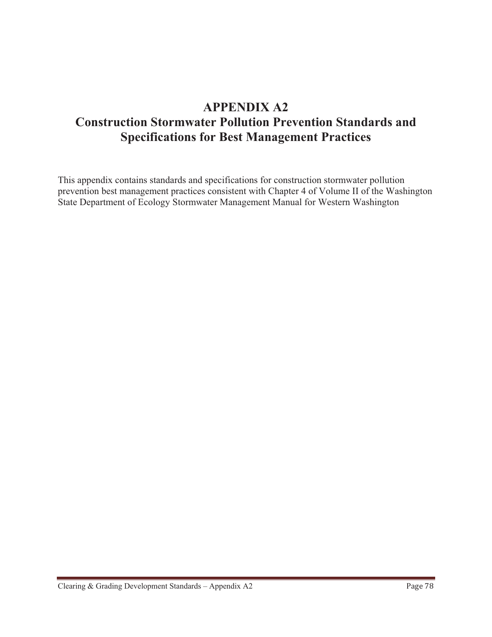# **APPENDIX A2 Construction Stormwater Pollution Prevention Standards and Specifications for Best Management Practices**

This appendix contains standards and specifications for construction stormwater pollution prevention best management practices consistent with Chapter 4 of Volume II of the Washington State Department of Ecology Stormwater Management Manual for Western Washington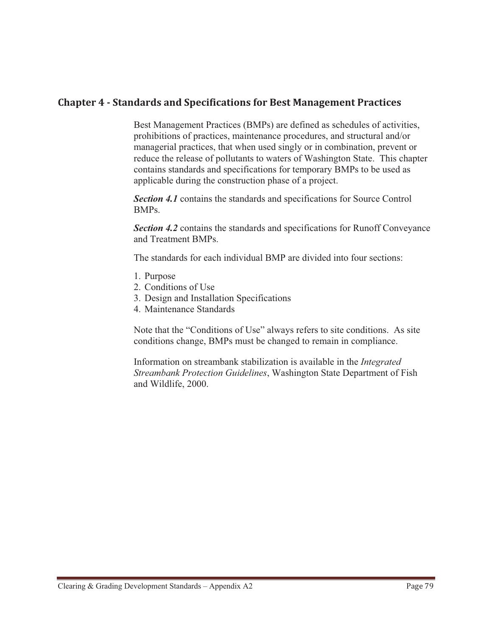## **Chapter 4 - Standards and Specifications for Best Management Practices**

Best Management Practices (BMPs) are defined as schedules of activities, prohibitions of practices, maintenance procedures, and structural and/or managerial practices, that when used singly or in combination, prevent or reduce the release of pollutants to waters of Washington State. This chapter contains standards and specifications for temporary BMPs to be used as applicable during the construction phase of a project.

*Section 4.1* contains the standards and specifications for Source Control BMPs.

**Section 4.2** contains the standards and specifications for Runoff Conveyance and Treatment BMPs.

The standards for each individual BMP are divided into four sections:

- 1. Purpose
- 2. Conditions of Use
- 3. Design and Installation Specifications
- 4. Maintenance Standards

Note that the "Conditions of Use" always refers to site conditions. As site conditions change, BMPs must be changed to remain in compliance.

Information on streambank stabilization is available in the *Integrated Streambank Protection Guidelines*, Washington State Department of Fish and Wildlife, 2000.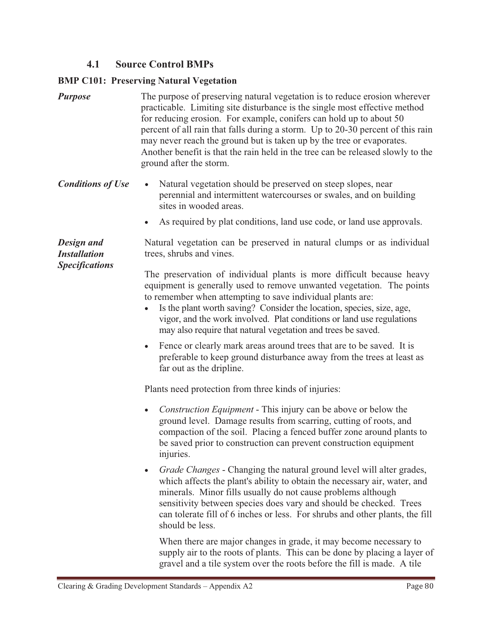## **4.1 Source Control BMPs**

#### **BMP C101: Preserving Natural Vegetation**

- *Purpose* The purpose of preserving natural vegetation is to reduce erosion wherever practicable. Limiting site disturbance is the single most effective method for reducing erosion. For example, conifers can hold up to about 50 percent of all rain that falls during a storm. Up to 20-30 percent of this rain may never reach the ground but is taken up by the tree or evaporates. Another benefit is that the rain held in the tree can be released slowly to the ground after the storm.
- *Conditions of Use*  Natural vegetation should be preserved on steep slopes, near perennial and intermittent watercourses or swales, and on building sites in wooded areas.
	- -As required by plat conditions, land use code, or land use approvals.

*Design and Installation Specifications*  Natural vegetation can be preserved in natural clumps or as individual trees, shrubs and vines.

The preservation of individual plants is more difficult because heavy equipment is generally used to remove unwanted vegetation. The points to remember when attempting to save individual plants are:

- $\bullet$  Is the plant worth saving? Consider the location, species, size, age, vigor, and the work involved. Plat conditions or land use regulations may also require that natural vegetation and trees be saved.
- Fence or clearly mark areas around trees that are to be saved. It is preferable to keep ground disturbance away from the trees at least as far out as the dripline.

Plants need protection from three kinds of injuries:

- *Construction Equipment* This injury can be above or below the ground level. Damage results from scarring, cutting of roots, and compaction of the soil. Placing a fenced buffer zone around plants to be saved prior to construction can prevent construction equipment injuries.
- *Grade Changes* Changing the natural ground level will alter grades, which affects the plant's ability to obtain the necessary air, water, and minerals. Minor fills usually do not cause problems although sensitivity between species does vary and should be checked. Trees can tolerate fill of 6 inches or less. For shrubs and other plants, the fill should be less.

When there are major changes in grade, it may become necessary to supply air to the roots of plants. This can be done by placing a layer of gravel and a tile system over the roots before the fill is made. A tile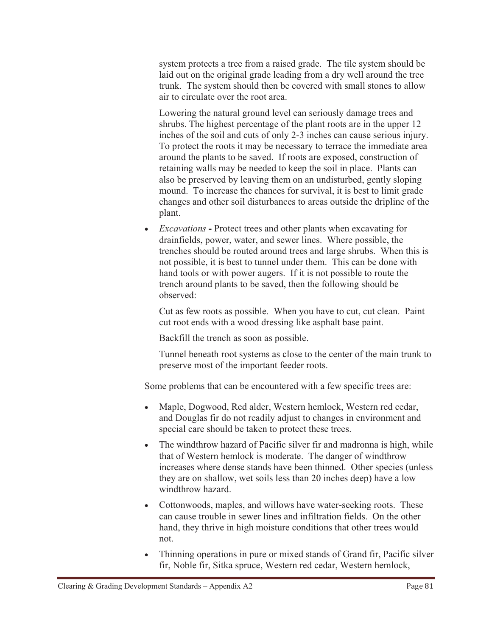system protects a tree from a raised grade. The tile system should be laid out on the original grade leading from a dry well around the tree trunk. The system should then be covered with small stones to allow air to circulate over the root area.

Lowering the natural ground level can seriously damage trees and shrubs. The highest percentage of the plant roots are in the upper 12 inches of the soil and cuts of only 2-3 inches can cause serious injury. To protect the roots it may be necessary to terrace the immediate area around the plants to be saved. If roots are exposed, construction of retaining walls may be needed to keep the soil in place. Plants can also be preserved by leaving them on an undisturbed, gently sloping mound. To increase the chances for survival, it is best to limit grade changes and other soil disturbances to areas outside the dripline of the plant.

- *Excavations* **-** Protect trees and other plants when excavating for drainfields, power, water, and sewer lines. Where possible, the trenches should be routed around trees and large shrubs. When this is not possible, it is best to tunnel under them. This can be done with hand tools or with power augers. If it is not possible to route the trench around plants to be saved, then the following should be observed:

Cut as few roots as possible. When you have to cut, cut clean. Paint cut root ends with a wood dressing like asphalt base paint.

Backfill the trench as soon as possible.

Tunnel beneath root systems as close to the center of the main trunk to preserve most of the important feeder roots.

Some problems that can be encountered with a few specific trees are:

- $\bullet$  Maple, Dogwood, Red alder, Western hemlock, Western red cedar, and Douglas fir do not readily adjust to changes in environment and special care should be taken to protect these trees.
- The windthrow hazard of Pacific silver fir and madronna is high, while that of Western hemlock is moderate. The danger of windthrow increases where dense stands have been thinned. Other species (unless they are on shallow, wet soils less than 20 inches deep) have a low windthrow hazard.
- Cottonwoods, maples, and willows have water-seeking roots. These can cause trouble in sewer lines and infiltration fields. On the other hand, they thrive in high moisture conditions that other trees would not.
- - Thinning operations in pure or mixed stands of Grand fir, Pacific silver fir, Noble fir, Sitka spruce, Western red cedar, Western hemlock,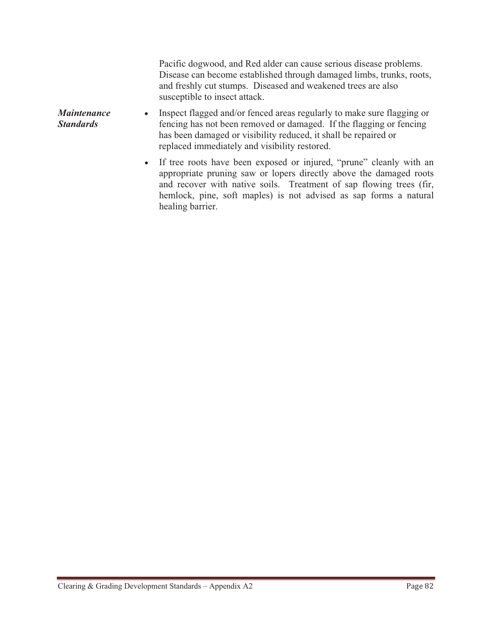Pacific dogwood, and Red alder can cause serious disease problems. Disease can become established through damaged limbs, trunks, roots, and freshly cut stumps. Diseased and weakened trees are also susceptible to insect attack. *Maintenance Standards*  $\bullet$  Inspect flagged and/or fenced areas regularly to make sure flagging or fencing has not been removed or damaged. If the flagging or fencing has been damaged or visibility reduced, it shall be repaired or replaced immediately and visibility restored.

 $\bullet$  If tree roots have been exposed or injured, "prune" cleanly with an appropriate pruning saw or lopers directly above the damaged roots and recover with native soils. Treatment of sap flowing trees (fir, hemlock, pine, soft maples) is not advised as sap forms a natural healing barrier.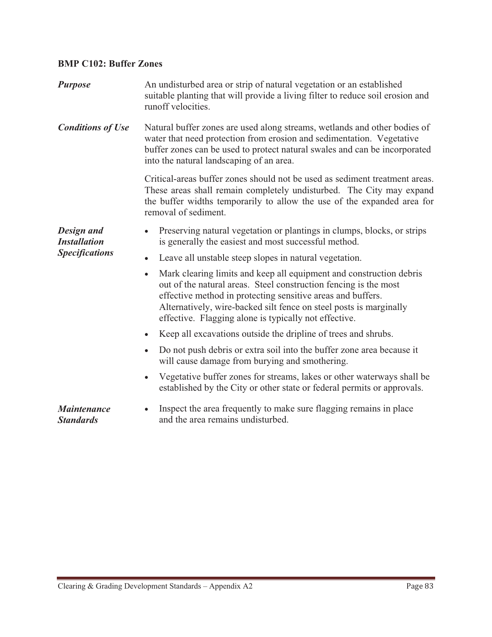## **BMP C102: Buffer Zones**

| <b>Purpose</b>                         | An undisturbed area or strip of natural vegetation or an established<br>suitable planting that will provide a living filter to reduce soil erosion and<br>runoff velocities.                                                                                                                                                                       |  |  |
|----------------------------------------|----------------------------------------------------------------------------------------------------------------------------------------------------------------------------------------------------------------------------------------------------------------------------------------------------------------------------------------------------|--|--|
| <b>Conditions of Use</b>               | Natural buffer zones are used along streams, wetlands and other bodies of<br>water that need protection from erosion and sedimentation. Vegetative<br>buffer zones can be used to protect natural swales and can be incorporated<br>into the natural landscaping of an area.                                                                       |  |  |
|                                        | Critical-areas buffer zones should not be used as sediment treatment areas.<br>These areas shall remain completely undisturbed. The City may expand<br>the buffer widths temporarily to allow the use of the expanded area for<br>removal of sediment.                                                                                             |  |  |
| Design and<br><b>Installation</b>      | Preserving natural vegetation or plantings in clumps, blocks, or strips<br>$\bullet$<br>is generally the easiest and most successful method.                                                                                                                                                                                                       |  |  |
| <b>Specifications</b>                  | Leave all unstable steep slopes in natural vegetation.<br>$\bullet$                                                                                                                                                                                                                                                                                |  |  |
|                                        | Mark clearing limits and keep all equipment and construction debris<br>$\bullet$<br>out of the natural areas. Steel construction fencing is the most<br>effective method in protecting sensitive areas and buffers.<br>Alternatively, wire-backed silt fence on steel posts is marginally<br>effective. Flagging alone is typically not effective. |  |  |
|                                        | Keep all excavations outside the dripline of trees and shrubs.<br>$\bullet$                                                                                                                                                                                                                                                                        |  |  |
|                                        | Do not push debris or extra soil into the buffer zone area because it<br>$\bullet$<br>will cause damage from burying and smothering.                                                                                                                                                                                                               |  |  |
|                                        | Vegetative buffer zones for streams, lakes or other waterways shall be<br>$\bullet$<br>established by the City or other state or federal permits or approvals.                                                                                                                                                                                     |  |  |
| <b>Maintenance</b><br><b>Standards</b> | Inspect the area frequently to make sure flagging remains in place<br>and the area remains undisturbed.                                                                                                                                                                                                                                            |  |  |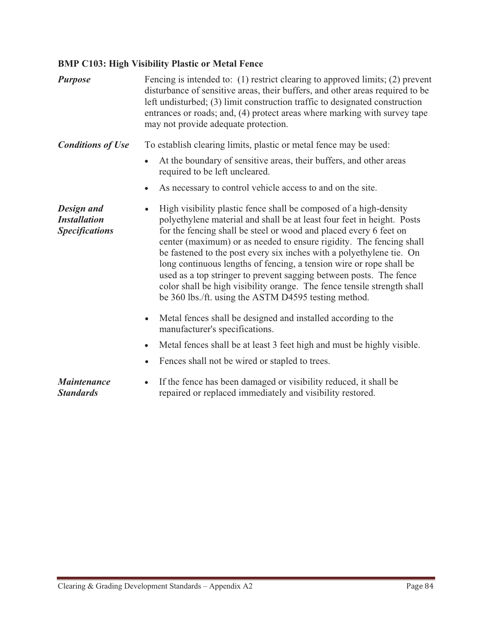## **BMP C103: High Visibility Plastic or Metal Fence**

| <b>Purpose</b>                                             | Fencing is intended to: (1) restrict clearing to approved limits; (2) prevent<br>disturbance of sensitive areas, their buffers, and other areas required to be<br>left undisturbed; (3) limit construction traffic to designated construction<br>entrances or roads; and, (4) protect areas where marking with survey tape<br>may not provide adequate protection.                                                                                                                                                                                                                                                                                           |
|------------------------------------------------------------|--------------------------------------------------------------------------------------------------------------------------------------------------------------------------------------------------------------------------------------------------------------------------------------------------------------------------------------------------------------------------------------------------------------------------------------------------------------------------------------------------------------------------------------------------------------------------------------------------------------------------------------------------------------|
| <b>Conditions of Use</b>                                   | To establish clearing limits, plastic or metal fence may be used:                                                                                                                                                                                                                                                                                                                                                                                                                                                                                                                                                                                            |
|                                                            | At the boundary of sensitive areas, their buffers, and other areas<br>required to be left uncleared.                                                                                                                                                                                                                                                                                                                                                                                                                                                                                                                                                         |
|                                                            | As necessary to control vehicle access to and on the site.<br>$\bullet$                                                                                                                                                                                                                                                                                                                                                                                                                                                                                                                                                                                      |
| Design and<br><b>Installation</b><br><b>Specifications</b> | High visibility plastic fence shall be composed of a high-density<br>$\bullet$<br>polyethylene material and shall be at least four feet in height. Posts<br>for the fencing shall be steel or wood and placed every 6 feet on<br>center (maximum) or as needed to ensure rigidity. The fencing shall<br>be fastened to the post every six inches with a polyethylene tie. On<br>long continuous lengths of fencing, a tension wire or rope shall be<br>used as a top stringer to prevent sagging between posts. The fence<br>color shall be high visibility orange. The fence tensile strength shall<br>be 360 lbs./ft. using the ASTM D4595 testing method. |
|                                                            | Metal fences shall be designed and installed according to the<br>$\bullet$<br>manufacturer's specifications.                                                                                                                                                                                                                                                                                                                                                                                                                                                                                                                                                 |
|                                                            | Metal fences shall be at least 3 feet high and must be highly visible.<br>$\bullet$                                                                                                                                                                                                                                                                                                                                                                                                                                                                                                                                                                          |
|                                                            | Fences shall not be wired or stapled to trees.<br>$\bullet$                                                                                                                                                                                                                                                                                                                                                                                                                                                                                                                                                                                                  |
| <b>Maintenance</b><br><b>Standards</b>                     | If the fence has been damaged or visibility reduced, it shall be<br>$\bullet$<br>repaired or replaced immediately and visibility restored.                                                                                                                                                                                                                                                                                                                                                                                                                                                                                                                   |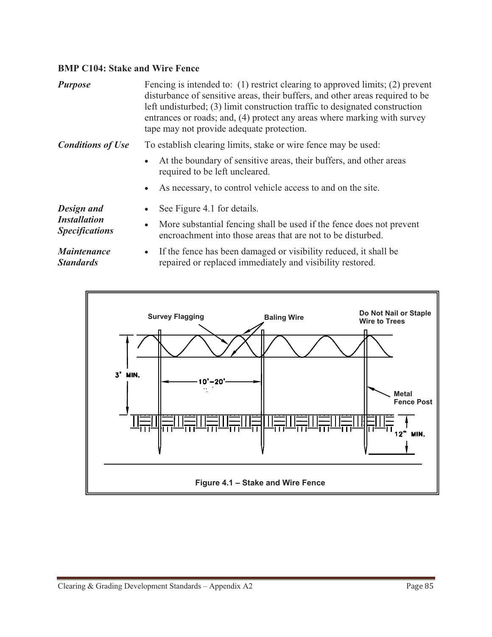## **BMP C104: Stake and Wire Fence**

| <b>Purpose</b>                                             | Fencing is intended to: (1) restrict clearing to approved limits; (2) prevent<br>disturbance of sensitive areas, their buffers, and other areas required to be<br>left undisturbed; (3) limit construction traffic to designated construction<br>entrances or roads; and, (4) protect any areas where marking with survey<br>tape may not provide adequate protection. |
|------------------------------------------------------------|------------------------------------------------------------------------------------------------------------------------------------------------------------------------------------------------------------------------------------------------------------------------------------------------------------------------------------------------------------------------|
| <b>Conditions of Use</b>                                   | To establish clearing limits, stake or wire fence may be used:                                                                                                                                                                                                                                                                                                         |
|                                                            | At the boundary of sensitive areas, their buffers, and other areas<br>$\bullet$<br>required to be left uncleared.                                                                                                                                                                                                                                                      |
|                                                            | As necessary, to control vehicle access to and on the site.<br>$\bullet$                                                                                                                                                                                                                                                                                               |
| Design and<br><b>Installation</b><br><b>Specifications</b> | See Figure 4.1 for details.<br>$\bullet$<br>More substantial fencing shall be used if the fence does not prevent<br>$\bullet$                                                                                                                                                                                                                                          |
|                                                            | encroachment into those areas that are not to be disturbed.                                                                                                                                                                                                                                                                                                            |
| <b>Maintenance</b><br><b>Standards</b>                     | If the fence has been damaged or visibility reduced, it shall be<br>$\bullet$<br>repaired or replaced immediately and visibility restored.                                                                                                                                                                                                                             |

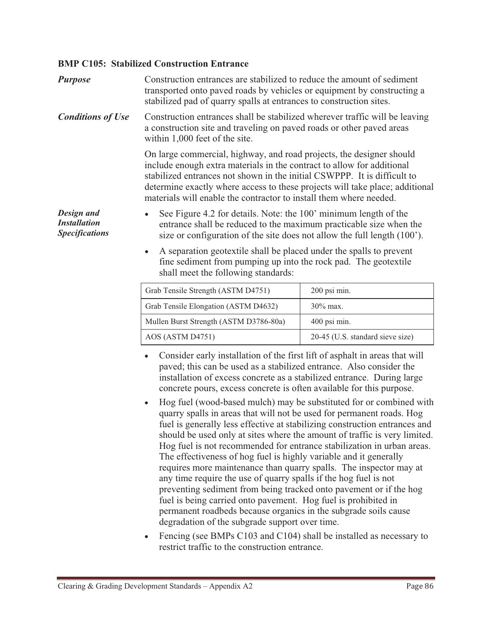#### **BMP C105: Stabilized Construction Entrance**

| <b>Purpose</b>                                             | Construction entrances are stabilized to reduce the amount of sediment<br>transported onto paved roads by vehicles or equipment by constructing a<br>stabilized pad of quarry spalls at entrances to construction sites.                                                                                                                                                                                                                                                                                                                                                   |              |  |  |
|------------------------------------------------------------|----------------------------------------------------------------------------------------------------------------------------------------------------------------------------------------------------------------------------------------------------------------------------------------------------------------------------------------------------------------------------------------------------------------------------------------------------------------------------------------------------------------------------------------------------------------------------|--------------|--|--|
| <b>Conditions of Use</b>                                   | Construction entrances shall be stabilized wherever traffic will be leaving<br>a construction site and traveling on paved roads or other paved areas<br>within 1,000 feet of the site.<br>On large commercial, highway, and road projects, the designer should<br>include enough extra materials in the contract to allow for additional<br>stabilized entrances not shown in the initial CSWPPP. It is difficult to<br>determine exactly where access to these projects will take place; additional<br>materials will enable the contractor to install them where needed. |              |  |  |
|                                                            |                                                                                                                                                                                                                                                                                                                                                                                                                                                                                                                                                                            |              |  |  |
| Design and<br><b>Installation</b><br><b>Specifications</b> | See Figure 4.2 for details. Note: the 100' minimum length of the<br>$\bullet$<br>entrance shall be reduced to the maximum practicable size when the<br>size or configuration of the site does not allow the full length (100').                                                                                                                                                                                                                                                                                                                                            |              |  |  |
|                                                            | A separation geotextile shall be placed under the spalls to prevent<br>$\bullet$<br>fine sediment from pumping up into the rock pad. The geotextile<br>shall meet the following standards:                                                                                                                                                                                                                                                                                                                                                                                 |              |  |  |
|                                                            | Grab Tensile Strength (ASTM D4751)                                                                                                                                                                                                                                                                                                                                                                                                                                                                                                                                         | 200 psi min. |  |  |
|                                                            | Grab Tensile Elongation (ASTM D4632)                                                                                                                                                                                                                                                                                                                                                                                                                                                                                                                                       | 30% max.     |  |  |
|                                                            | Mullen Burst Strength (ASTM D3786-80a)                                                                                                                                                                                                                                                                                                                                                                                                                                                                                                                                     | 400 psi min. |  |  |
|                                                            | AOS (ASTM D4751)<br>20-45 (U.S. standard sieve size)                                                                                                                                                                                                                                                                                                                                                                                                                                                                                                                       |              |  |  |
|                                                            | Consider early installation of the first lift of asphalt in areas that will<br>paved; this can be used as a stabilized entrance. Also consider the<br>installation of excess concrete as a stabilized entrance. During large<br>concrete pours, excess concrete is often available for this purpose.<br>Hog fuel (wood-based mulch) may be substituted for or combined with<br>$\bullet$<br>quarry spalls in areas that will not be used for permanent roads. Hog<br>fuel is generally less effective at stabilizing construction entrances and                            |              |  |  |

- fuel is generally less effective at stabilizing construction entrances and should be used only at sites where the amount of traffic is very limited. Hog fuel is not recommended for entrance stabilization in urban areas. The effectiveness of hog fuel is highly variable and it generally requires more maintenance than quarry spalls. The inspector may at any time require the use of quarry spalls if the hog fuel is not preventing sediment from being tracked onto pavement or if the hog fuel is being carried onto pavement. Hog fuel is prohibited in permanent roadbeds because organics in the subgrade soils cause degradation of the subgrade support over time.
- Fencing (see BMPs C103 and C104) shall be installed as necessary to restrict traffic to the construction entrance.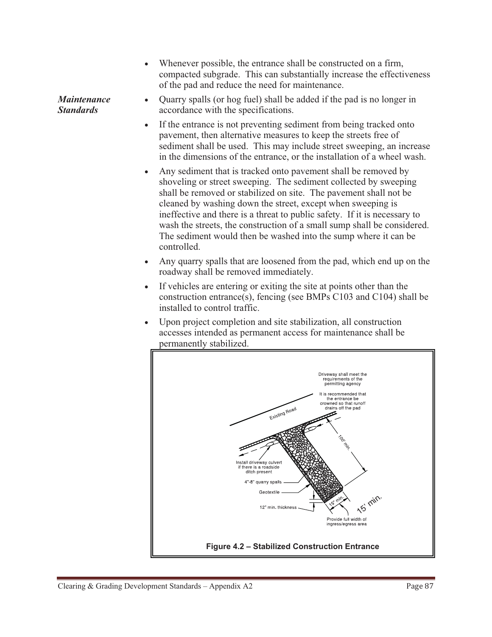- Whenever possible, the entrance shall be constructed on a firm, compacted subgrade. This can substantially increase the effectiveness of the pad and reduce the need for maintenance.

*Maintenance Standards* - Quarry spalls (or hog fuel) shall be added if the pad is no longer in accordance with the specifications.

- - If the entrance is not preventing sediment from being tracked onto pavement, then alternative measures to keep the streets free of sediment shall be used. This may include street sweeping, an increase in the dimensions of the entrance, or the installation of a wheel wash.
- - Any sediment that is tracked onto pavement shall be removed by shoveling or street sweeping. The sediment collected by sweeping shall be removed or stabilized on site. The pavement shall not be cleaned by washing down the street, except when sweeping is ineffective and there is a threat to public safety. If it is necessary to wash the streets, the construction of a small sump shall be considered. The sediment would then be washed into the sump where it can be controlled.
- - Any quarry spalls that are loosened from the pad, which end up on the roadway shall be removed immediately.
- - If vehicles are entering or exiting the site at points other than the construction entrance(s), fencing (see BMPs C103 and C104) shall be installed to control traffic.
- - Upon project completion and site stabilization, all construction accesses intended as permanent access for maintenance shall be permanently stabilized.

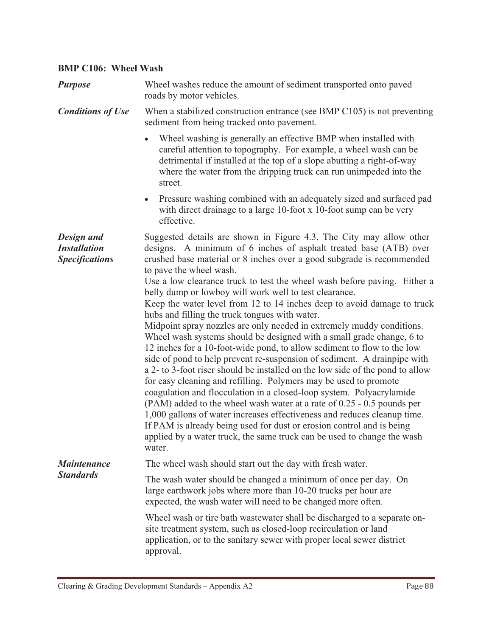#### **BMP C106: Wheel Wash**  *Purpose* Wheel washes reduce the amount of sediment transported onto paved roads by motor vehicles. *Conditions of Use* When a stabilized construction entrance (see BMP C105) is not preventing sediment from being tracked onto pavement. - Wheel washing is generally an effective BMP when installed with careful attention to topography. For example, a wheel wash can be detrimental if installed at the top of a slope abutting a right-of-way where the water from the dripping truck can run unimpeded into the street. - Pressure washing combined with an adequately sized and surfaced pad with direct drainage to a large 10-foot x 10-foot sump can be very effective. *Design and Installation Specifications*  Suggested details are shown in Figure 4.3. The City may allow other designs. A minimum of 6 inches of asphalt treated base (ATB) over crushed base material or 8 inches over a good subgrade is recommended to pave the wheel wash. Use a low clearance truck to test the wheel wash before paving. Either a belly dump or lowboy will work well to test clearance. Keep the water level from 12 to 14 inches deep to avoid damage to truck hubs and filling the truck tongues with water. Midpoint spray nozzles are only needed in extremely muddy conditions. Wheel wash systems should be designed with a small grade change, 6 to 12 inches for a 10-foot-wide pond, to allow sediment to flow to the low side of pond to help prevent re-suspension of sediment. A drainpipe with a 2- to 3-foot riser should be installed on the low side of the pond to allow for easy cleaning and refilling. Polymers may be used to promote coagulation and flocculation in a closed-loop system. Polyacrylamide (PAM) added to the wheel wash water at a rate of 0.25 - 0.5 pounds per 1,000 gallons of water increases effectiveness and reduces cleanup time. If PAM is already being used for dust or erosion control and is being applied by a water truck, the same truck can be used to change the wash water. *Maintenance Standards* The wheel wash should start out the day with fresh water. The wash water should be changed a minimum of once per day. On large earthwork jobs where more than 10-20 trucks per hour are expected, the wash water will need to be changed more often. Wheel wash or tire bath wastewater shall be discharged to a separate onsite treatment system, such as closed-loop recirculation or land application, or to the sanitary sewer with proper local sewer district approval.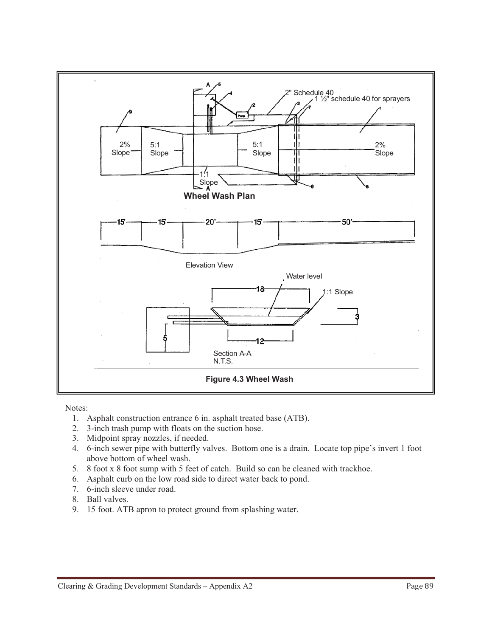

Notes:

- 1. Asphalt construction entrance 6 in. asphalt treated base (ATB).
- 2. 3-inch trash pump with floats on the suction hose.
- 3. Midpoint spray nozzles, if needed.
- 4. 6-inch sewer pipe with butterfly valves. Bottom one is a drain. Locate top pipe's invert 1 foot above bottom of wheel wash.
- 5. 8 foot x 8 foot sump with 5 feet of catch. Build so can be cleaned with trackhoe.
- 6. Asphalt curb on the low road side to direct water back to pond.
- 7. 6-inch sleeve under road.
- 8. Ball valves.
- 9. 15 foot. ATB apron to protect ground from splashing water.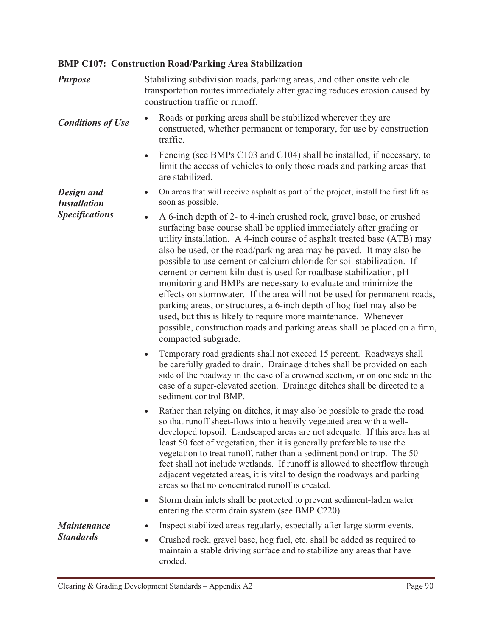## **BMP C107: Construction Road/Parking Area Stabilization**

| <b>Purpose</b>                    | Stabilizing subdivision roads, parking areas, and other onsite vehicle<br>transportation routes immediately after grading reduces erosion caused by<br>construction traffic or runoff.                                                                                                                                                                                                                                                                                                                                                                                                                                                                                                                                                                                                                                                  |  |  |
|-----------------------------------|-----------------------------------------------------------------------------------------------------------------------------------------------------------------------------------------------------------------------------------------------------------------------------------------------------------------------------------------------------------------------------------------------------------------------------------------------------------------------------------------------------------------------------------------------------------------------------------------------------------------------------------------------------------------------------------------------------------------------------------------------------------------------------------------------------------------------------------------|--|--|
| <b>Conditions of Use</b>          | Roads or parking areas shall be stabilized wherever they are<br>constructed, whether permanent or temporary, for use by construction<br>traffic.                                                                                                                                                                                                                                                                                                                                                                                                                                                                                                                                                                                                                                                                                        |  |  |
|                                   | Fencing (see BMPs C103 and C104) shall be installed, if necessary, to<br>$\bullet$<br>limit the access of vehicles to only those roads and parking areas that<br>are stabilized.                                                                                                                                                                                                                                                                                                                                                                                                                                                                                                                                                                                                                                                        |  |  |
| Design and<br><b>Installation</b> | On areas that will receive asphalt as part of the project, install the first lift as<br>$\bullet$<br>soon as possible.                                                                                                                                                                                                                                                                                                                                                                                                                                                                                                                                                                                                                                                                                                                  |  |  |
| <b>Specifications</b>             | A 6-inch depth of 2- to 4-inch crushed rock, gravel base, or crushed<br>surfacing base course shall be applied immediately after grading or<br>utility installation. A 4-inch course of asphalt treated base (ATB) may<br>also be used, or the road/parking area may be paved. It may also be<br>possible to use cement or calcium chloride for soil stabilization. If<br>cement or cement kiln dust is used for roadbase stabilization, pH<br>monitoring and BMPs are necessary to evaluate and minimize the<br>effects on stormwater. If the area will not be used for permanent roads,<br>parking areas, or structures, a 6-inch depth of hog fuel may also be<br>used, but this is likely to require more maintenance. Whenever<br>possible, construction roads and parking areas shall be placed on a firm,<br>compacted subgrade. |  |  |
|                                   | Temporary road gradients shall not exceed 15 percent. Roadways shall<br>$\bullet$<br>be carefully graded to drain. Drainage ditches shall be provided on each<br>side of the roadway in the case of a crowned section, or on one side in the<br>case of a super-elevated section. Drainage ditches shall be directed to a<br>sediment control BMP.                                                                                                                                                                                                                                                                                                                                                                                                                                                                                      |  |  |
|                                   | Rather than relying on ditches, it may also be possible to grade the road<br>$\bullet$<br>so that runoff sheet-flows into a heavily vegetated area with a well-<br>developed topsoil. Landscaped areas are not adequate. If this area has at<br>least 50 feet of vegetation, then it is generally preferable to use the<br>vegetation to treat runoff, rather than a sediment pond or trap. The 50<br>feet shall not include wetlands. If runoff is allowed to sheetflow through<br>adjacent vegetated areas, it is vital to design the roadways and parking<br>areas so that no concentrated runoff is created.                                                                                                                                                                                                                        |  |  |
|                                   | Storm drain inlets shall be protected to prevent sediment-laden water<br>٠<br>entering the storm drain system (see BMP C220).                                                                                                                                                                                                                                                                                                                                                                                                                                                                                                                                                                                                                                                                                                           |  |  |
| <b>Maintenance</b>                | Inspect stabilized areas regularly, especially after large storm events.                                                                                                                                                                                                                                                                                                                                                                                                                                                                                                                                                                                                                                                                                                                                                                |  |  |
| <b>Standards</b>                  | Crushed rock, gravel base, hog fuel, etc. shall be added as required to<br>$\bullet$<br>maintain a stable driving surface and to stabilize any areas that have<br>eroded.                                                                                                                                                                                                                                                                                                                                                                                                                                                                                                                                                                                                                                                               |  |  |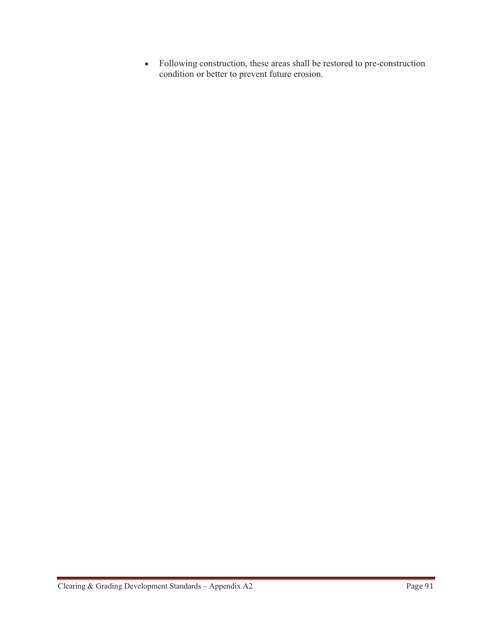- Following construction, these areas shall be restored to pre-construction condition or better to prevent future erosion.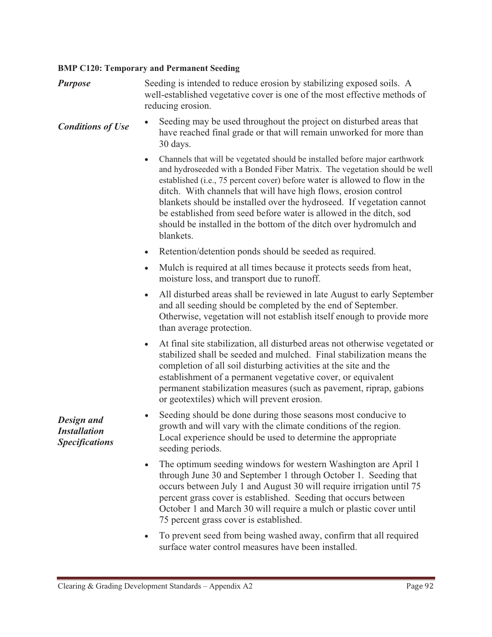#### **BMP C120: Temporary and Permanent Seeding**

| <b>Purpose</b> | Seeding is intended to reduce erosion by stabilizing exposed soils. A     |
|----------------|---------------------------------------------------------------------------|
|                | well-established vegetative cover is one of the most effective methods of |
|                | reducing erosion.                                                         |

- *Conditions of Use*  Seeding may be used throughout the project on disturbed areas that have reached final grade or that will remain unworked for more than 30 days.
	- - Channels that will be vegetated should be installed before major earthwork and hydroseeded with a Bonded Fiber Matrix. The vegetation should be well established (i.e., 75 percent cover) before water is allowed to flow in the ditch. With channels that will have high flows, erosion control blankets should be installed over the hydroseed. If vegetation cannot be established from seed before water is allowed in the ditch, sod should be installed in the bottom of the ditch over hydromulch and blankets.
	- -Retention/detention ponds should be seeded as required.
	- Mulch is required at all times because it protects seeds from heat, moisture loss, and transport due to runoff.
	- All disturbed areas shall be reviewed in late August to early September and all seeding should be completed by the end of September. Otherwise, vegetation will not establish itself enough to provide more than average protection.
	- At final site stabilization, all disturbed areas not otherwise vegetated or stabilized shall be seeded and mulched. Final stabilization means the completion of all soil disturbing activities at the site and the establishment of a permanent vegetative cover, or equivalent permanent stabilization measures (such as pavement, riprap, gabions or geotextiles) which will prevent erosion.
	- - Seeding should be done during those seasons most conducive to growth and will vary with the climate conditions of the region. Local experience should be used to determine the appropriate seeding periods.
	- - The optimum seeding windows for western Washington are April 1 through June 30 and September 1 through October 1. Seeding that occurs between July 1 and August 30 will require irrigation until 75 percent grass cover is established. Seeding that occurs between October 1 and March 30 will require a mulch or plastic cover until 75 percent grass cover is established.
	- - To prevent seed from being washed away, confirm that all required surface water control measures have been installed.

*Design and Installation Specifications*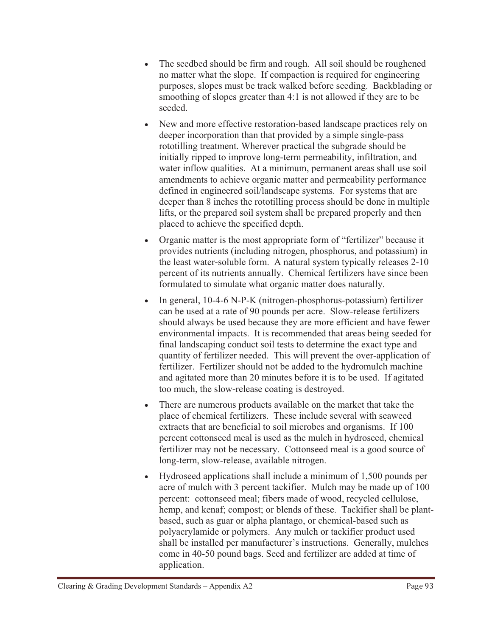- $\bullet$  The seedbed should be firm and rough. All soil should be roughened no matter what the slope. If compaction is required for engineering purposes, slopes must be track walked before seeding. Backblading or smoothing of slopes greater than 4:1 is not allowed if they are to be seeded.
- $\bullet$  New and more effective restoration-based landscape practices rely on deeper incorporation than that provided by a simple single-pass rototilling treatment. Wherever practical the subgrade should be initially ripped to improve long-term permeability, infiltration, and water inflow qualities. At a minimum, permanent areas shall use soil amendments to achieve organic matter and permeability performance defined in engineered soil/landscape systems. For systems that are deeper than 8 inches the rototilling process should be done in multiple lifts, or the prepared soil system shall be prepared properly and then placed to achieve the specified depth.
- - Organic matter is the most appropriate form of "fertilizer" because it provides nutrients (including nitrogen, phosphorus, and potassium) in the least water-soluble form. A natural system typically releases 2-10 percent of its nutrients annually. Chemical fertilizers have since been formulated to simulate what organic matter does naturally.
- In general, 10-4-6 N-P-K (nitrogen-phosphorus-potassium) fertilizer can be used at a rate of 90 pounds per acre. Slow-release fertilizers should always be used because they are more efficient and have fewer environmental impacts. It is recommended that areas being seeded for final landscaping conduct soil tests to determine the exact type and quantity of fertilizer needed. This will prevent the over-application of fertilizer. Fertilizer should not be added to the hydromulch machine and agitated more than 20 minutes before it is to be used. If agitated too much, the slow-release coating is destroyed.
- $\bullet$  There are numerous products available on the market that take the place of chemical fertilizers. These include several with seaweed extracts that are beneficial to soil microbes and organisms. If 100 percent cottonseed meal is used as the mulch in hydroseed, chemical fertilizer may not be necessary. Cottonseed meal is a good source of long-term, slow-release, available nitrogen.
- - Hydroseed applications shall include a minimum of 1,500 pounds per acre of mulch with 3 percent tackifier. Mulch may be made up of 100 percent: cottonseed meal; fibers made of wood, recycled cellulose, hemp, and kenaf; compost; or blends of these. Tackifier shall be plantbased, such as guar or alpha plantago, or chemical-based such as polyacrylamide or polymers. Any mulch or tackifier product used shall be installed per manufacturer's instructions. Generally, mulches come in 40-50 pound bags. Seed and fertilizer are added at time of application.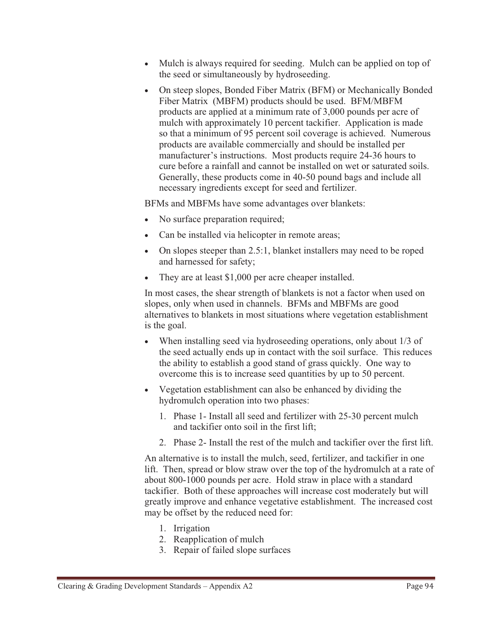- Mulch is always required for seeding. Mulch can be applied on top of the seed or simultaneously by hydroseeding.
- On steep slopes, Bonded Fiber Matrix (BFM) or Mechanically Bonded Fiber Matrix (MBFM) products should be used. BFM/MBFM products are applied at a minimum rate of 3,000 pounds per acre of mulch with approximately 10 percent tackifier. Application is made so that a minimum of 95 percent soil coverage is achieved. Numerous products are available commercially and should be installed per manufacturer's instructions. Most products require 24-36 hours to cure before a rainfall and cannot be installed on wet or saturated soils. Generally, these products come in 40-50 pound bags and include all necessary ingredients except for seed and fertilizer.

BFMs and MBFMs have some advantages over blankets:

- No surface preparation required;
- -Can be installed via helicopter in remote areas;
- On slopes steeper than 2.5:1, blanket installers may need to be roped and harnessed for safety;
- -They are at least \$1,000 per acre cheaper installed.

In most cases, the shear strength of blankets is not a factor when used on slopes, only when used in channels. BFMs and MBFMs are good alternatives to blankets in most situations where vegetation establishment is the goal.

- - When installing seed via hydroseeding operations, only about 1/3 of the seed actually ends up in contact with the soil surface. This reduces the ability to establish a good stand of grass quickly. One way to overcome this is to increase seed quantities by up to 50 percent.
- Vegetation establishment can also be enhanced by dividing the hydromulch operation into two phases:
	- 1. Phase 1- Install all seed and fertilizer with 25-30 percent mulch and tackifier onto soil in the first lift;
	- 2. Phase 2- Install the rest of the mulch and tackifier over the first lift.

An alternative is to install the mulch, seed, fertilizer, and tackifier in one lift. Then, spread or blow straw over the top of the hydromulch at a rate of about 800-1000 pounds per acre. Hold straw in place with a standard tackifier. Both of these approaches will increase cost moderately but will greatly improve and enhance vegetative establishment. The increased cost may be offset by the reduced need for:

- 1. Irrigation
- 2. Reapplication of mulch
- 3. Repair of failed slope surfaces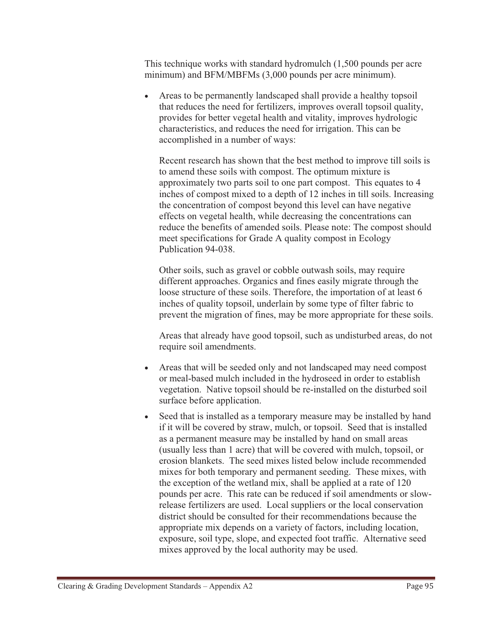This technique works with standard hydromulch (1,500 pounds per acre minimum) and BFM/MBFMs (3,000 pounds per acre minimum).

- Areas to be permanently landscaped shall provide a healthy topsoil that reduces the need for fertilizers, improves overall topsoil quality, provides for better vegetal health and vitality, improves hydrologic characteristics, and reduces the need for irrigation. This can be accomplished in a number of ways:

Recent research has shown that the best method to improve till soils is to amend these soils with compost. The optimum mixture is approximately two parts soil to one part compost. This equates to 4 inches of compost mixed to a depth of 12 inches in till soils. Increasing the concentration of compost beyond this level can have negative effects on vegetal health, while decreasing the concentrations can reduce the benefits of amended soils. Please note: The compost should meet specifications for Grade A quality compost in Ecology Publication 94-038.

Other soils, such as gravel or cobble outwash soils, may require different approaches. Organics and fines easily migrate through the loose structure of these soils. Therefore, the importation of at least 6 inches of quality topsoil, underlain by some type of filter fabric to prevent the migration of fines, may be more appropriate for these soils.

Areas that already have good topsoil, such as undisturbed areas, do not require soil amendments.

- Areas that will be seeded only and not landscaped may need compost or meal-based mulch included in the hydroseed in order to establish vegetation. Native topsoil should be re-installed on the disturbed soil surface before application.
- - Seed that is installed as a temporary measure may be installed by hand if it will be covered by straw, mulch, or topsoil. Seed that is installed as a permanent measure may be installed by hand on small areas (usually less than 1 acre) that will be covered with mulch, topsoil, or erosion blankets. The seed mixes listed below include recommended mixes for both temporary and permanent seeding. These mixes, with the exception of the wetland mix, shall be applied at a rate of 120 pounds per acre. This rate can be reduced if soil amendments or slowrelease fertilizers are used. Local suppliers or the local conservation district should be consulted for their recommendations because the appropriate mix depends on a variety of factors, including location, exposure, soil type, slope, and expected foot traffic. Alternative seed mixes approved by the local authority may be used.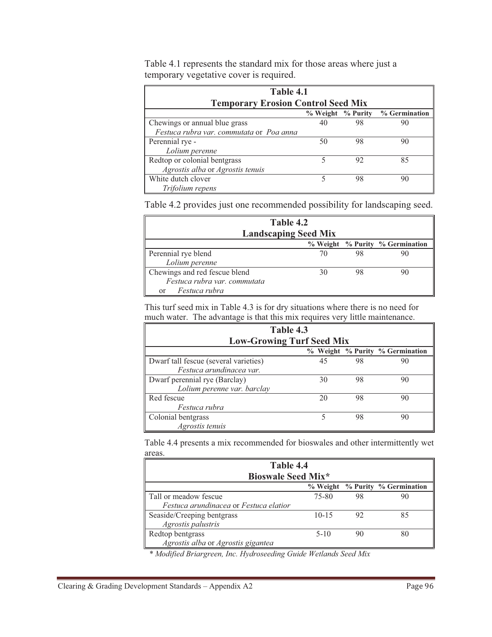| Table 4.1                                 |                   |    |               |  |
|-------------------------------------------|-------------------|----|---------------|--|
| <b>Temporary Erosion Control Seed Mix</b> |                   |    |               |  |
|                                           | % Weight % Purity |    | % Germination |  |
| Chewings or annual blue grass             | 40                | 98 | 90            |  |
| Festuca rubra var. commutata or Poa anna  |                   |    |               |  |
| Perennial rye -                           | 50                | 98 | 90            |  |
| Lolium perenne                            |                   |    |               |  |
| Redtop or colonial bentgrass              |                   | 92 | 85            |  |
| Agrostis alba or Agrostis tenuis          |                   |    |               |  |
| White dutch clover                        | 5                 | 98 |               |  |
| Trifolium repens                          |                   |    |               |  |

Table 4.1 represents the standard mix for those areas where just a temporary vegetative cover is required.

Table 4.2 provides just one recommended possibility for landscaping seed.

| Table 4.2                     |    |    |                                 |  |
|-------------------------------|----|----|---------------------------------|--|
| <b>Landscaping Seed Mix</b>   |    |    |                                 |  |
|                               |    |    | % Weight % Purity % Germination |  |
| Perennial rye blend           |    | 98 |                                 |  |
| Lolium perenne                |    |    |                                 |  |
| Chewings and red fescue blend | 30 | 98 |                                 |  |
| Festuca rubra var. commutata  |    |    |                                 |  |
| Festuca rubra<br>or           |    |    |                                 |  |

This turf seed mix in Table 4.3 is for dry situations where there is no need for much water. The advantage is that this mix requires very little maintenance.

| Table 4.3                             |    |    |                                 |  |
|---------------------------------------|----|----|---------------------------------|--|
| <b>Low-Growing Turf Seed Mix</b>      |    |    |                                 |  |
|                                       |    |    | % Weight % Purity % Germination |  |
| Dwarf tall fescue (several varieties) | 45 | 98 | 90                              |  |
| Festuca arundinacea var.              |    |    |                                 |  |
| Dwarf perennial rye (Barclay)         | 30 | 98 | 90                              |  |
| Lolium perenne var. barclay           |    |    |                                 |  |
| Red fescue                            | 20 | 98 | 90                              |  |
| Festuca rubra                         |    |    |                                 |  |
| Colonial bentgrass                    |    | 98 | 90                              |  |
| Agrostis tenuis                       |    |    |                                 |  |

Table 4.4 presents a mix recommended for bioswales and other intermittently wet areas.

| Table 4.4<br><b>Bioswale Seed Mix*</b> |           |    |    |  |
|----------------------------------------|-----------|----|----|--|
| % Weight % Purity % Germination        |           |    |    |  |
| Tall or meadow fescue                  | 75-80     | 98 |    |  |
| Festuca arundinacea or Festuca elatior |           |    |    |  |
| Seaside/Creeping bentgrass             | $10 - 15$ | 92 | 85 |  |
| Agrostis palustris                     |           |    |    |  |
| Redtop bentgrass                       | $5-10$    | 90 |    |  |
| Agrostis alba or Agrostis gigantea     |           |    |    |  |

*\* Modified Briargreen, Inc. Hydroseeding Guide Wetlands Seed Mix*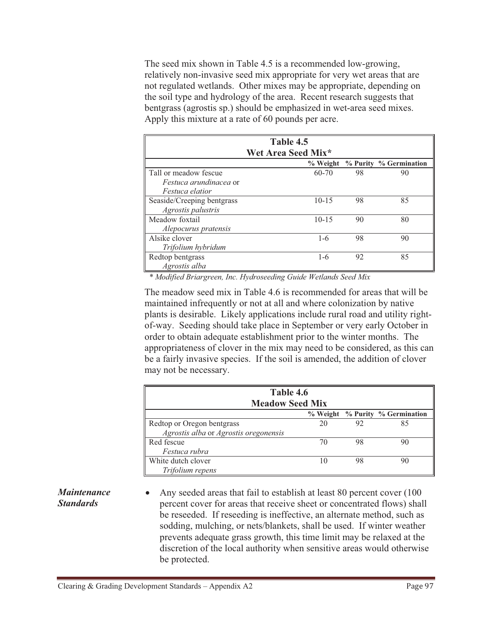The seed mix shown in Table 4.5 is a recommended low-growing, relatively non-invasive seed mix appropriate for very wet areas that are not regulated wetlands. Other mixes may be appropriate, depending on the soil type and hydrology of the area. Recent research suggests that bentgrass (agrostis sp.) should be emphasized in wet-area seed mixes. Apply this mixture at a rate of 60 pounds per acre.

| Table 4.5                     |                    |    |                                 |  |
|-------------------------------|--------------------|----|---------------------------------|--|
|                               | Wet Area Seed Mix* |    |                                 |  |
|                               |                    |    | % Weight % Purity % Germination |  |
| Tall or meadow fescue         | $60 - 70$          | 98 | 90                              |  |
| <i>Festuca arundinacea</i> or |                    |    |                                 |  |
| <i>Festuca elatior</i>        |                    |    |                                 |  |
| Seaside/Creeping bentgrass    | $10 - 15$          | 98 | 85                              |  |
| Agrostis palustris            |                    |    |                                 |  |
| Meadow foxtail                | $10 - 15$          | 90 | 80                              |  |
| Alepocurus pratensis          |                    |    |                                 |  |
| Alsike clover                 | $1 - 6$            | 98 | 90                              |  |
| Trifolium hybridum            |                    |    |                                 |  |
| Redtop bentgrass              | $1 - 6$            | 92 | 85                              |  |
| Agrostis alba                 |                    |    |                                 |  |

*\* Modified Briargreen, Inc. Hydroseeding Guide Wetlands Seed Mix* 

The meadow seed mix in Table 4.6 is recommended for areas that will be maintained infrequently or not at all and where colonization by native plants is desirable. Likely applications include rural road and utility rightof-way. Seeding should take place in September or very early October in order to obtain adequate establishment prior to the winter months. The appropriateness of clover in the mix may need to be considered, as this can be a fairly invasive species. If the soil is amended, the addition of clover may not be necessary.

| Table 4.6<br><b>Meadow Seed Mix</b>   |    |    |                                 |
|---------------------------------------|----|----|---------------------------------|
|                                       |    |    | % Weight % Purity % Germination |
| Redtop or Oregon bentgrass            | 20 | 92 | 85                              |
| Agrostis alba or Agrostis oregonensis |    |    |                                 |
| Red fescue                            | 70 | 98 | 90                              |
| Festuca rubra                         |    |    |                                 |
| White dutch clover                    | 10 | 98 |                                 |
| Trifolium repens                      |    |    |                                 |

## *Maintenance Standards*

 $\bullet$  Any seeded areas that fail to establish at least 80 percent cover (100 percent cover for areas that receive sheet or concentrated flows) shall be reseeded. If reseeding is ineffective, an alternate method, such as sodding, mulching, or nets/blankets, shall be used. If winter weather prevents adequate grass growth, this time limit may be relaxed at the discretion of the local authority when sensitive areas would otherwise be protected.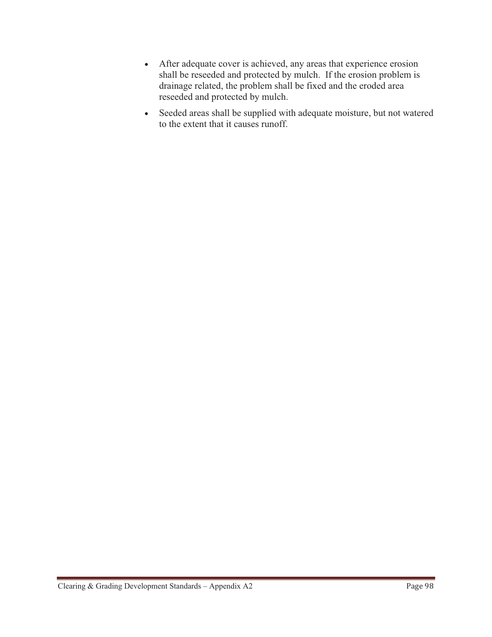- After adequate cover is achieved, any areas that experience erosion shall be reseeded and protected by mulch. If the erosion problem is drainage related, the problem shall be fixed and the eroded area reseeded and protected by mulch.
- Seeded areas shall be supplied with adequate moisture, but not watered to the extent that it causes runoff.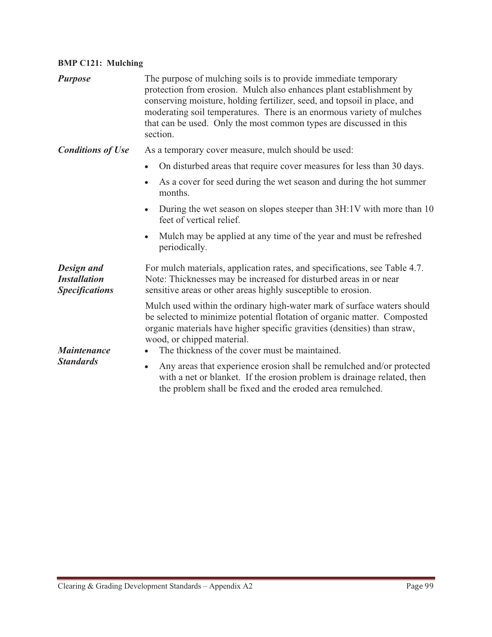## **BMP C121: Mulching**

| <b>Purpose</b>                                             | The purpose of mulching soils is to provide immediate temporary<br>protection from erosion. Mulch also enhances plant establishment by<br>conserving moisture, holding fertilizer, seed, and topsoil in place, and<br>moderating soil temperatures. There is an enormous variety of mulches<br>that can be used. Only the most common types are discussed in this<br>section. |  |
|------------------------------------------------------------|-------------------------------------------------------------------------------------------------------------------------------------------------------------------------------------------------------------------------------------------------------------------------------------------------------------------------------------------------------------------------------|--|
| <b>Conditions of Use</b>                                   | As a temporary cover measure, mulch should be used:                                                                                                                                                                                                                                                                                                                           |  |
|                                                            | On disturbed areas that require cover measures for less than 30 days.                                                                                                                                                                                                                                                                                                         |  |
|                                                            | As a cover for seed during the wet season and during the hot summer<br>months.                                                                                                                                                                                                                                                                                                |  |
|                                                            | During the wet season on slopes steeper than 3H:1V with more than 10<br>$\bullet$<br>feet of vertical relief.                                                                                                                                                                                                                                                                 |  |
|                                                            | Mulch may be applied at any time of the year and must be refreshed<br>$\bullet$<br>periodically.                                                                                                                                                                                                                                                                              |  |
| Design and<br><b>Installation</b><br><b>Specifications</b> | For mulch materials, application rates, and specifications, see Table 4.7.<br>Note: Thicknesses may be increased for disturbed areas in or near<br>sensitive areas or other areas highly susceptible to erosion.                                                                                                                                                              |  |
| <b>Maintenance</b><br><b>Standards</b>                     | Mulch used within the ordinary high-water mark of surface waters should<br>be selected to minimize potential flotation of organic matter. Composted<br>organic materials have higher specific gravities (densities) than straw,<br>wood, or chipped material.<br>The thickness of the cover must be maintained.                                                               |  |
|                                                            | Any areas that experience erosion shall be remulched and/or protected<br>$\bullet$<br>with a net or blanket. If the erosion problem is drainage related, then<br>the problem shall be fixed and the eroded area remulched.                                                                                                                                                    |  |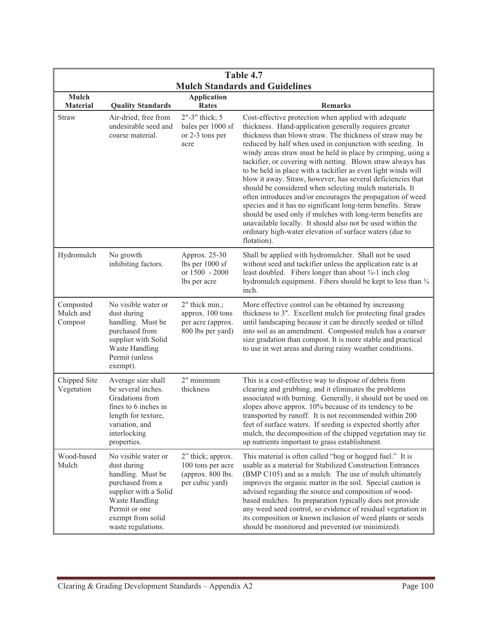| Table 4.7                             |                                                                                                                                                                                    |                                                                                |                                                                                                                                                                                                                                                                                                                                                                                                                                                                                                                                                                                                                                                                                                                                                                                                                                                                                                       |
|---------------------------------------|------------------------------------------------------------------------------------------------------------------------------------------------------------------------------------|--------------------------------------------------------------------------------|-------------------------------------------------------------------------------------------------------------------------------------------------------------------------------------------------------------------------------------------------------------------------------------------------------------------------------------------------------------------------------------------------------------------------------------------------------------------------------------------------------------------------------------------------------------------------------------------------------------------------------------------------------------------------------------------------------------------------------------------------------------------------------------------------------------------------------------------------------------------------------------------------------|
| <b>Mulch Standards and Guidelines</b> |                                                                                                                                                                                    |                                                                                |                                                                                                                                                                                                                                                                                                                                                                                                                                                                                                                                                                                                                                                                                                                                                                                                                                                                                                       |
| Mulch<br><b>Material</b>              | <b>Quality Standards</b>                                                                                                                                                           | <b>Application</b><br><b>Rates</b>                                             | <b>Remarks</b>                                                                                                                                                                                                                                                                                                                                                                                                                                                                                                                                                                                                                                                                                                                                                                                                                                                                                        |
| Straw                                 | Air-dried; free from<br>undesirable seed and<br>coarse material.                                                                                                                   | 2"-3" thick; 5<br>bales per 1000 sf<br>or 2-3 tons per<br>acre                 | Cost-effective protection when applied with adequate<br>thickness. Hand-application generally requires greater<br>thickness than blown straw. The thickness of straw may be<br>reduced by half when used in conjunction with seeding. In<br>windy areas straw must be held in place by crimping, using a<br>tackifier, or covering with netting. Blown straw always has<br>to be held in place with a tackifier as even light winds will<br>blow it away. Straw, however, has several deficiencies that<br>should be considered when selecting mulch materials. It<br>often introduces and/or encourages the propagation of weed<br>species and it has no significant long-term benefits. Straw<br>should be used only if mulches with long-term benefits are<br>unavailable locally. It should also not be used within the<br>ordinary high-water elevation of surface waters (due to<br>flotation). |
| Hydromulch                            | No growth<br>inhibiting factors.                                                                                                                                                   | Approx. 25-30<br>lbs per 1000 sf<br>or 1500 - 2000<br>lbs per acre             | Shall be applied with hydromulcher. Shall not be used<br>without seed and tackifier unless the application rate is at<br>least doubled. Fibers longer than about 3/4-1 inch clog<br>hydromulch equipment. Fibers should be kept to less than 3/4<br>inch.                                                                                                                                                                                                                                                                                                                                                                                                                                                                                                                                                                                                                                             |
| Composted<br>Mulch and<br>Compost     | No visible water or<br>dust during<br>handling. Must be<br>purchased from<br>supplier with Solid<br>Waste Handling<br>Permit (unless<br>exempt).                                   | 2" thick min.;<br>approx. 100 tons<br>per acre (approx.<br>800 lbs per yard)   | More effective control can be obtained by increasing<br>thickness to 3". Excellent mulch for protecting final grades<br>until landscaping because it can be directly seeded or tilled<br>into soil as an amendment. Composted mulch has a coarser<br>size gradation than compost. It is more stable and practical<br>to use in wet areas and during rainy weather conditions.                                                                                                                                                                                                                                                                                                                                                                                                                                                                                                                         |
| Chipped Site<br>Vegetation            | Average size shall<br>be several inches.<br>Gradations from<br>fines to 6 inches in<br>length for texture,<br>variation, and<br>interlocking<br>properties.                        | 2" minimum<br>thickness                                                        | This is a cost-effective way to dispose of debris from<br>clearing and grubbing, and it eliminates the problems<br>associated with burning. Generally, it should not be used on<br>slopes above approx. 10% because of its tendency to be<br>transported by runoff. It is not recommended within 200<br>feet of surface waters. If seeding is expected shortly after<br>mulch, the decomposition of the chipped vegetation may tie<br>up nutrients important to grass establishment.                                                                                                                                                                                                                                                                                                                                                                                                                  |
| Wood-based<br>Mulch                   | No visible water or<br>dust during<br>handling. Must be<br>purchased from a<br>supplier with a Solid<br>Waste Handling<br>Permit or one<br>exempt from solid<br>waste regulations. | 2" thick; approx.<br>100 tons per acre<br>(approx. 800 lbs.<br>per cubic yard) | This material is often called "hog or hogged fuel." It is<br>usable as a material for Stabilized Construction Entrances<br>(BMP C105) and as a mulch. The use of mulch ultimately<br>improves the organic matter in the soil. Special caution is<br>advised regarding the source and composition of wood-<br>based mulches. Its preparation typically does not provide<br>any weed seed control, so evidence of residual vegetation in<br>its composition or known inclusion of weed plants or seeds<br>should be monitored and prevented (or minimized).                                                                                                                                                                                                                                                                                                                                             |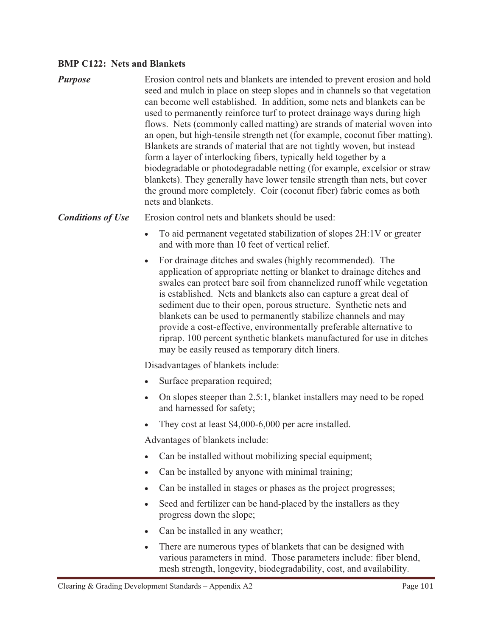#### **BMP C122: Nets and Blankets**

| <b>Purpose</b> | Erosion control nets and blankets are intended to prevent erosion and hold<br>seed and mulch in place on steep slopes and in channels so that vegetation<br>can become well established. In addition, some nets and blankets can be<br>used to permanently reinforce turf to protect drainage ways during high<br>flows. Nets (commonly called matting) are strands of material woven into<br>an open, but high-tensile strength net (for example, coconut fiber matting).<br>Blankets are strands of material that are not tightly woven, but instead<br>form a layer of interlocking fibers, typically held together by a<br>biodegradable or photodegradable netting (for example, excelsior or straw<br>blankets). They generally have lower tensile strength than nets, but cover<br>the ground more completely. Coir (coconut fiber) fabric comes as both<br>nets and blankets. |
|----------------|---------------------------------------------------------------------------------------------------------------------------------------------------------------------------------------------------------------------------------------------------------------------------------------------------------------------------------------------------------------------------------------------------------------------------------------------------------------------------------------------------------------------------------------------------------------------------------------------------------------------------------------------------------------------------------------------------------------------------------------------------------------------------------------------------------------------------------------------------------------------------------------|
|----------------|---------------------------------------------------------------------------------------------------------------------------------------------------------------------------------------------------------------------------------------------------------------------------------------------------------------------------------------------------------------------------------------------------------------------------------------------------------------------------------------------------------------------------------------------------------------------------------------------------------------------------------------------------------------------------------------------------------------------------------------------------------------------------------------------------------------------------------------------------------------------------------------|

#### **Conditions of Use** Erosion control nets and blankets should be used:

- - To aid permanent vegetated stabilization of slopes 2H:1V or greater and with more than 10 feet of vertical relief.
- - For drainage ditches and swales (highly recommended). The application of appropriate netting or blanket to drainage ditches and swales can protect bare soil from channelized runoff while vegetation is established. Nets and blankets also can capture a great deal of sediment due to their open, porous structure. Synthetic nets and blankets can be used to permanently stabilize channels and may provide a cost-effective, environmentally preferable alternative to riprap. 100 percent synthetic blankets manufactured for use in ditches may be easily reused as temporary ditch liners.

Disadvantages of blankets include:

- -Surface preparation required;
- On slopes steeper than 2.5:1, blanket installers may need to be roped and harnessed for safety;
- -They cost at least \$4,000-6,000 per acre installed.

Advantages of blankets include:

- -Can be installed without mobilizing special equipment;
- $\bullet$ Can be installed by anyone with minimal training;
- $\bullet$ Can be installed in stages or phases as the project progresses;
- $\bullet$  Seed and fertilizer can be hand-placed by the installers as they progress down the slope;
- Can be installed in any weather;
- - There are numerous types of blankets that can be designed with various parameters in mind. Those parameters include: fiber blend, mesh strength, longevity, biodegradability, cost, and availability.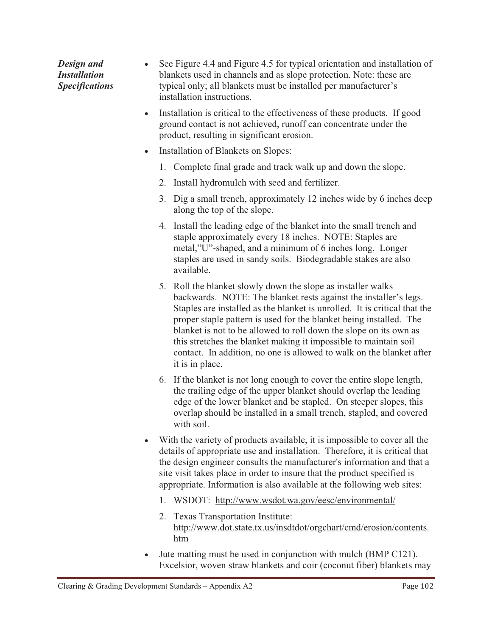*Design and Installation Specifications*   $\bullet$  See Figure 4.4 and Figure 4.5 for typical orientation and installation of blankets used in channels and as slope protection. Note: these are typical only; all blankets must be installed per manufacturer's installation instructions.

- - Installation is critical to the effectiveness of these products. If good ground contact is not achieved, runoff can concentrate under the product, resulting in significant erosion.
- - Installation of Blankets on Slopes:
	- 1. Complete final grade and track walk up and down the slope.
	- 2. Install hydromulch with seed and fertilizer.
	- 3. Dig a small trench, approximately 12 inches wide by 6 inches deep along the top of the slope.
	- 4. Install the leading edge of the blanket into the small trench and staple approximately every 18 inches. NOTE: Staples are metal,"U"-shaped, and a minimum of 6 inches long. Longer staples are used in sandy soils. Biodegradable stakes are also available.
	- 5. Roll the blanket slowly down the slope as installer walks backwards. NOTE: The blanket rests against the installer's legs. Staples are installed as the blanket is unrolled. It is critical that the proper staple pattern is used for the blanket being installed. The blanket is not to be allowed to roll down the slope on its own as this stretches the blanket making it impossible to maintain soil contact. In addition, no one is allowed to walk on the blanket after it is in place.
	- 6. If the blanket is not long enough to cover the entire slope length, the trailing edge of the upper blanket should overlap the leading edge of the lower blanket and be stapled. On steeper slopes, this overlap should be installed in a small trench, stapled, and covered with soil.
- With the variety of products available, it is impossible to cover all the details of appropriate use and installation. Therefore, it is critical that the design engineer consults the manufacturer's information and that a site visit takes place in order to insure that the product specified is appropriate. Information is also available at the following web sites:
	- 1. WSDOT: http://www.wsdot.wa.gov/eesc/environmental/
	- 2. Texas Transportation Institute: http://www.dot.state.tx.us/insdtdot/orgchart/cmd/erosion/contents. htm
- - Jute matting must be used in conjunction with mulch (BMP C121). Excelsior, woven straw blankets and coir (coconut fiber) blankets may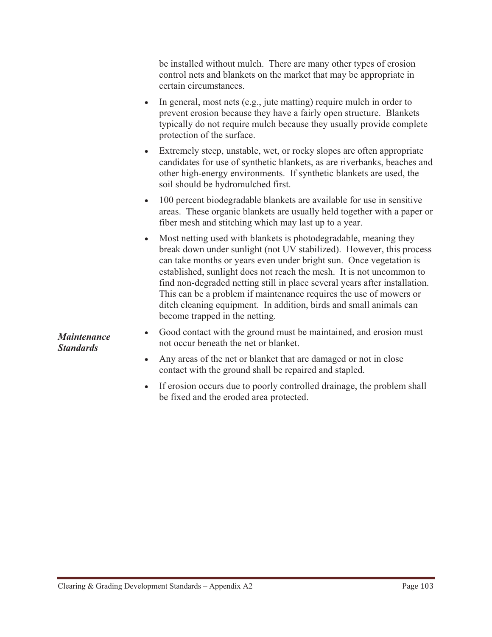be installed without mulch. There are many other types of erosion control nets and blankets on the market that may be appropriate in certain circumstances.

- - In general, most nets (e.g., jute matting) require mulch in order to prevent erosion because they have a fairly open structure. Blankets typically do not require mulch because they usually provide complete protection of the surface.
- - Extremely steep, unstable, wet, or rocky slopes are often appropriate candidates for use of synthetic blankets, as are riverbanks, beaches and other high-energy environments. If synthetic blankets are used, the soil should be hydromulched first.
- $\bullet$  100 percent biodegradable blankets are available for use in sensitive areas. These organic blankets are usually held together with a paper or fiber mesh and stitching which may last up to a year.
- $\bullet$  Most netting used with blankets is photodegradable, meaning they break down under sunlight (not UV stabilized). However, this process can take months or years even under bright sun. Once vegetation is established, sunlight does not reach the mesh. It is not uncommon to find non-degraded netting still in place several years after installation. This can be a problem if maintenance requires the use of mowers or ditch cleaning equipment. In addition, birds and small animals can become trapped in the netting.

*Maintenance Standards*

- Good contact with the ground must be maintained, and erosion must not occur beneath the net or blanket.
- Any areas of the net or blanket that are damaged or not in close contact with the ground shall be repaired and stapled.
- If erosion occurs due to poorly controlled drainage, the problem shall be fixed and the eroded area protected.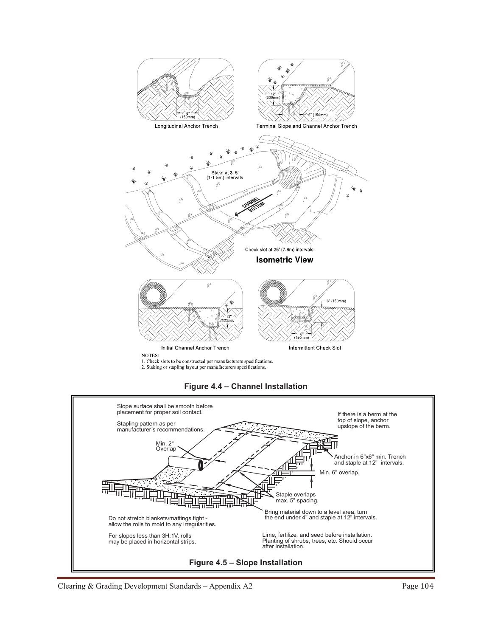







Clearing & Grading Development Standards - Appendix A2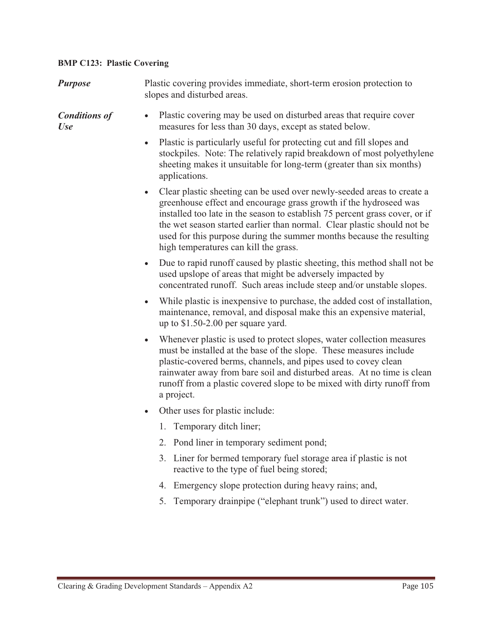## **BMP C123: Plastic Covering**

| <b>Purpose</b>                     | Plastic covering provides immediate, short-term erosion protection to<br>slopes and disturbed areas.                                                                                                                                                                                                                                                                                                                                |  |  |
|------------------------------------|-------------------------------------------------------------------------------------------------------------------------------------------------------------------------------------------------------------------------------------------------------------------------------------------------------------------------------------------------------------------------------------------------------------------------------------|--|--|
| <b>Conditions of</b><br><b>Use</b> | Plastic covering may be used on disturbed areas that require cover<br>$\bullet$<br>measures for less than 30 days, except as stated below.                                                                                                                                                                                                                                                                                          |  |  |
|                                    | Plastic is particularly useful for protecting cut and fill slopes and<br>$\bullet$<br>stockpiles. Note: The relatively rapid breakdown of most polyethylene<br>sheeting makes it unsuitable for long-term (greater than six months)<br>applications.                                                                                                                                                                                |  |  |
|                                    | Clear plastic sheeting can be used over newly-seeded areas to create a<br>$\bullet$<br>greenhouse effect and encourage grass growth if the hydroseed was<br>installed too late in the season to establish 75 percent grass cover, or if<br>the wet season started earlier than normal. Clear plastic should not be<br>used for this purpose during the summer months because the resulting<br>high temperatures can kill the grass. |  |  |
|                                    | Due to rapid runoff caused by plastic sheeting, this method shall not be<br>used upslope of areas that might be adversely impacted by<br>concentrated runoff. Such areas include steep and/or unstable slopes.                                                                                                                                                                                                                      |  |  |
|                                    | While plastic is inexpensive to purchase, the added cost of installation,<br>$\bullet$<br>maintenance, removal, and disposal make this an expensive material,<br>up to $$1.50-2.00$ per square yard.                                                                                                                                                                                                                                |  |  |
|                                    | Whenever plastic is used to protect slopes, water collection measures<br>$\bullet$<br>must be installed at the base of the slope. These measures include<br>plastic-covered berms, channels, and pipes used to covey clean<br>rainwater away from bare soil and disturbed areas. At no time is clean<br>runoff from a plastic covered slope to be mixed with dirty runoff from<br>a project.                                        |  |  |
|                                    | Other uses for plastic include:<br>$\bullet$                                                                                                                                                                                                                                                                                                                                                                                        |  |  |
|                                    | 1. Temporary ditch liner;                                                                                                                                                                                                                                                                                                                                                                                                           |  |  |
|                                    | Pond liner in temporary sediment pond;<br>2.                                                                                                                                                                                                                                                                                                                                                                                        |  |  |
|                                    | Liner for bermed temporary fuel storage area if plastic is not<br>3.<br>reactive to the type of fuel being stored;                                                                                                                                                                                                                                                                                                                  |  |  |
|                                    | Emergency slope protection during heavy rains; and,<br>4.                                                                                                                                                                                                                                                                                                                                                                           |  |  |
|                                    | Temporary drainpipe ("elephant trunk") used to direct water.<br>5.                                                                                                                                                                                                                                                                                                                                                                  |  |  |
|                                    |                                                                                                                                                                                                                                                                                                                                                                                                                                     |  |  |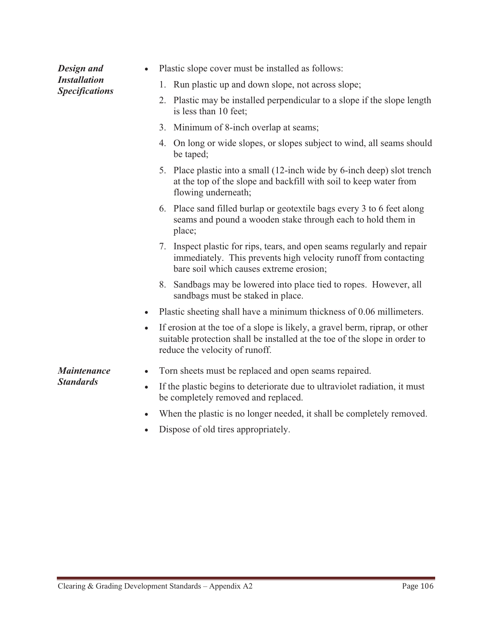| Design and<br><b>Installation</b><br><b>Specifications</b> | Plastic slope cover must be installed as follows:                                                                                                                                                        |
|------------------------------------------------------------|----------------------------------------------------------------------------------------------------------------------------------------------------------------------------------------------------------|
|                                                            | 1. Run plastic up and down slope, not across slope;                                                                                                                                                      |
|                                                            | 2. Plastic may be installed perpendicular to a slope if the slope length<br>is less than 10 feet;                                                                                                        |
|                                                            | 3. Minimum of 8-inch overlap at seams;                                                                                                                                                                   |
|                                                            | 4. On long or wide slopes, or slopes subject to wind, all seams should<br>be taped;                                                                                                                      |
|                                                            | 5. Place plastic into a small (12-inch wide by 6-inch deep) slot trench<br>at the top of the slope and backfill with soil to keep water from<br>flowing underneath;                                      |
|                                                            | 6. Place sand filled burlap or geotextile bags every 3 to 6 feet along<br>seams and pound a wooden stake through each to hold them in<br>place;                                                          |
|                                                            | 7. Inspect plastic for rips, tears, and open seams regularly and repair<br>immediately. This prevents high velocity runoff from contacting<br>bare soil which causes extreme erosion;                    |
|                                                            | 8. Sandbags may be lowered into place tied to ropes. However, all<br>sandbags must be staked in place.                                                                                                   |
|                                                            | Plastic sheeting shall have a minimum thickness of 0.06 millimeters.<br>$\bullet$                                                                                                                        |
|                                                            | If erosion at the toe of a slope is likely, a gravel berm, riprap, or other<br>$\bullet$<br>suitable protection shall be installed at the toe of the slope in order to<br>reduce the velocity of runoff. |
| <b>Maintenance</b>                                         | Torn sheets must be replaced and open seams repaired.<br>$\bullet$                                                                                                                                       |
| <b>Standards</b>                                           | If the plastic begins to deteriorate due to ultraviolet radiation, it must<br>$\bullet$<br>be completely removed and replaced.                                                                           |
|                                                            | When the plastic is no longer needed, it shall be completely removed.<br>$\bullet$                                                                                                                       |

- Dispose of old tires appropriately.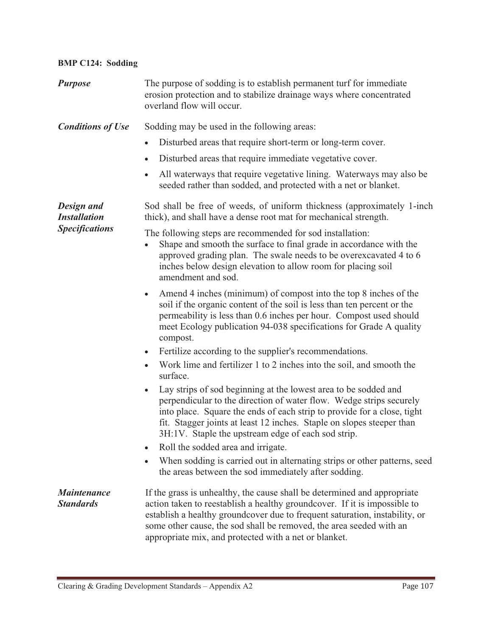| <b>BMP C124: Sodding</b>               |                                                                                                                                                                                                                                                                                                                                                                      |
|----------------------------------------|----------------------------------------------------------------------------------------------------------------------------------------------------------------------------------------------------------------------------------------------------------------------------------------------------------------------------------------------------------------------|
| <b>Purpose</b>                         | The purpose of sodding is to establish permanent turf for immediate<br>erosion protection and to stabilize drainage ways where concentrated<br>overland flow will occur.                                                                                                                                                                                             |
| <b>Conditions of Use</b>               | Sodding may be used in the following areas:                                                                                                                                                                                                                                                                                                                          |
|                                        | Disturbed areas that require short-term or long-term cover.<br>$\bullet$                                                                                                                                                                                                                                                                                             |
|                                        | Disturbed areas that require immediate vegetative cover.<br>$\bullet$                                                                                                                                                                                                                                                                                                |
|                                        | All waterways that require vegetative lining. Waterways may also be<br>$\bullet$<br>seeded rather than sodded, and protected with a net or blanket.                                                                                                                                                                                                                  |
| Design and<br><b>Installation</b>      | Sod shall be free of weeds, of uniform thickness (approximately 1-inch<br>thick), and shall have a dense root mat for mechanical strength.                                                                                                                                                                                                                           |
| <b>Specifications</b>                  | The following steps are recommended for sod installation:<br>Shape and smooth the surface to final grade in accordance with the<br>approved grading plan. The swale needs to be overexcavated 4 to 6<br>inches below design elevation to allow room for placing soil<br>amendment and sod.                                                                           |
|                                        | Amend 4 inches (minimum) of compost into the top 8 inches of the<br>$\bullet$<br>soil if the organic content of the soil is less than ten percent or the<br>permeability is less than 0.6 inches per hour. Compost used should<br>meet Ecology publication 94-038 specifications for Grade A quality<br>compost.                                                     |
|                                        | Fertilize according to the supplier's recommendations.<br>$\bullet$                                                                                                                                                                                                                                                                                                  |
|                                        | Work lime and fertilizer 1 to 2 inches into the soil, and smooth the<br>surface.                                                                                                                                                                                                                                                                                     |
|                                        | Lay strips of sod beginning at the lowest area to be sodded and<br>perpendicular to the direction of water flow. Wedge strips securely<br>into place. Square the ends of each strip to provide for a close, tight<br>fit. Stagger joints at least 12 inches. Staple on slopes steeper than<br>3H:1V. Staple the upstream edge of each sod strip.                     |
|                                        | Roll the sodded area and irrigate.<br>$\bullet$                                                                                                                                                                                                                                                                                                                      |
|                                        | When sodding is carried out in alternating strips or other patterns, seed<br>$\bullet$<br>the areas between the sod immediately after sodding.                                                                                                                                                                                                                       |
| <b>Maintenance</b><br><b>Standards</b> | If the grass is unhealthy, the cause shall be determined and appropriate<br>action taken to reestablish a healthy groundcover. If it is impossible to<br>establish a healthy groundcover due to frequent saturation, instability, or<br>some other cause, the sod shall be removed, the area seeded with an<br>appropriate mix, and protected with a net or blanket. |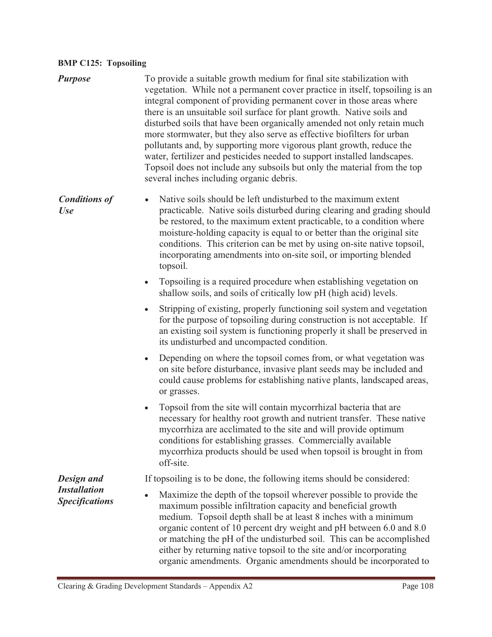#### **BMP C125: Topsoiling**

- *Purpose* To provide a suitable growth medium for final site stabilization with vegetation. While not a permanent cover practice in itself, topsoiling is an integral component of providing permanent cover in those areas where there is an unsuitable soil surface for plant growth. Native soils and disturbed soils that have been organically amended not only retain much more stormwater, but they also serve as effective biofilters for urban pollutants and, by supporting more vigorous plant growth, reduce the water, fertilizer and pesticides needed to support installed landscapes. Topsoil does not include any subsoils but only the material from the top several inches including organic debris.
- *Conditions of Use*  $\bullet$  Native soils should be left undisturbed to the maximum extent practicable. Native soils disturbed during clearing and grading should be restored, to the maximum extent practicable, to a condition where moisture-holding capacity is equal to or better than the original site conditions. This criterion can be met by using on-site native topsoil, incorporating amendments into on-site soil, or importing blended topsoil.
	- - Topsoiling is a required procedure when establishing vegetation on shallow soils, and soils of critically low pH (high acid) levels.
	- $\bullet$  Stripping of existing, properly functioning soil system and vegetation for the purpose of topsoiling during construction is not acceptable. If an existing soil system is functioning properly it shall be preserved in its undisturbed and uncompacted condition.
	- - Depending on where the topsoil comes from, or what vegetation was on site before disturbance, invasive plant seeds may be included and could cause problems for establishing native plants, landscaped areas, or grasses.
	- $\bullet$  Topsoil from the site will contain mycorrhizal bacteria that are necessary for healthy root growth and nutrient transfer. These native mycorrhiza are acclimated to the site and will provide optimum conditions for establishing grasses. Commercially available mycorrhiza products should be used when topsoil is brought in from off-site.

If topsoiling is to be done, the following items should be considered:

- Maximize the depth of the topsoil wherever possible to provide the maximum possible infiltration capacity and beneficial growth medium. Topsoil depth shall be at least 8 inches with a minimum organic content of 10 percent dry weight and pH between 6.0 and 8.0 or matching the pH of the undisturbed soil. This can be accomplished either by returning native topsoil to the site and/or incorporating organic amendments. Organic amendments should be incorporated to

*Design and Installation Specifications*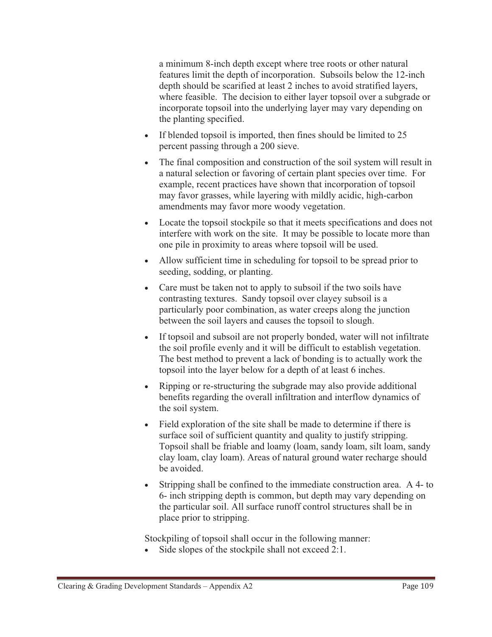a minimum 8-inch depth except where tree roots or other natural features limit the depth of incorporation. Subsoils below the 12-inch depth should be scarified at least 2 inches to avoid stratified layers, where feasible. The decision to either layer topsoil over a subgrade or incorporate topsoil into the underlying layer may vary depending on the planting specified.

- If blended topsoil is imported, then fines should be limited to 25 percent passing through a 200 sieve.
- - The final composition and construction of the soil system will result in a natural selection or favoring of certain plant species over time. For example, recent practices have shown that incorporation of topsoil may favor grasses, while layering with mildly acidic, high-carbon amendments may favor more woody vegetation.
- Locate the topsoil stockpile so that it meets specifications and does not interfere with work on the site. It may be possible to locate more than one pile in proximity to areas where topsoil will be used.
- Allow sufficient time in scheduling for topsoil to be spread prior to seeding, sodding, or planting.
- Care must be taken not to apply to subsoil if the two soils have contrasting textures. Sandy topsoil over clayey subsoil is a particularly poor combination, as water creeps along the junction between the soil layers and causes the topsoil to slough.
- - If topsoil and subsoil are not properly bonded, water will not infiltrate the soil profile evenly and it will be difficult to establish vegetation. The best method to prevent a lack of bonding is to actually work the topsoil into the layer below for a depth of at least 6 inches.
- Ripping or re-structuring the subgrade may also provide additional benefits regarding the overall infiltration and interflow dynamics of the soil system.
- Field exploration of the site shall be made to determine if there is surface soil of sufficient quantity and quality to justify stripping. Topsoil shall be friable and loamy (loam, sandy loam, silt loam, sandy clay loam, clay loam). Areas of natural ground water recharge should be avoided.
- - Stripping shall be confined to the immediate construction area. A 4- to 6- inch stripping depth is common, but depth may vary depending on the particular soil. All surface runoff control structures shall be in place prior to stripping.

Stockpiling of topsoil shall occur in the following manner:

-Side slopes of the stockpile shall not exceed 2:1.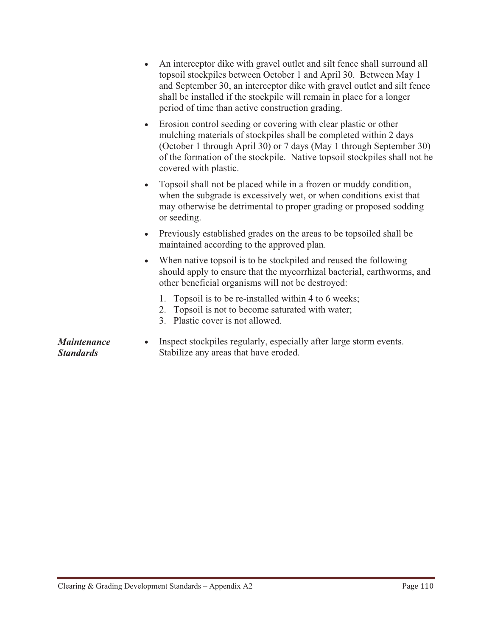- $\bullet$  An interceptor dike with gravel outlet and silt fence shall surround all topsoil stockpiles between October 1 and April 30. Between May 1 and September 30, an interceptor dike with gravel outlet and silt fence shall be installed if the stockpile will remain in place for a longer period of time than active construction grading.
- $\bullet$  Erosion control seeding or covering with clear plastic or other mulching materials of stockpiles shall be completed within 2 days (October 1 through April 30) or 7 days (May 1 through September 30) of the formation of the stockpile. Native topsoil stockpiles shall not be covered with plastic.
- $\bullet$  Topsoil shall not be placed while in a frozen or muddy condition, when the subgrade is excessively wet, or when conditions exist that may otherwise be detrimental to proper grading or proposed sodding or seeding.
- Previously established grades on the areas to be topsoiled shall be maintained according to the approved plan.
- - When native topsoil is to be stockpiled and reused the following should apply to ensure that the mycorrhizal bacterial, earthworms, and other beneficial organisms will not be destroyed:
	- 1. Topsoil is to be re-installed within 4 to 6 weeks;
	- 2. Topsoil is not to become saturated with water;
	- 3. Plastic cover is not allowed.
- *Maintenance Standards* - Inspect stockpiles regularly, especially after large storm events. Stabilize any areas that have eroded.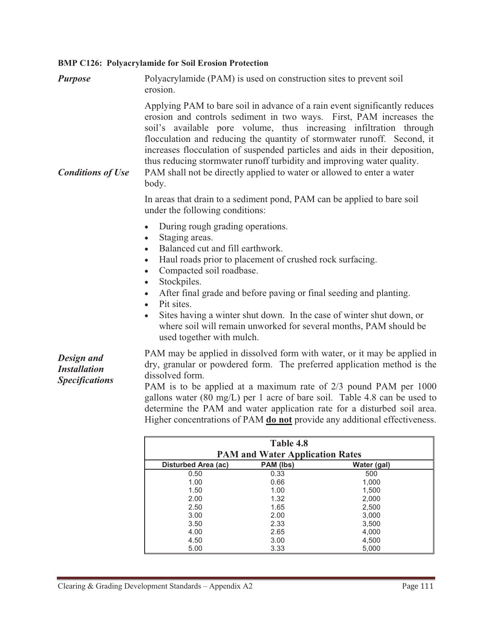## **BMP C126: Polyacrylamide for Soil Erosion Protection**

| <b>Purpose</b>                                             | Polyacrylamide (PAM) is used on construction sites to prevent soil<br>erosion.                                                                                                                                                                                                                                                                                                                                                                                                                                                                                                   |
|------------------------------------------------------------|----------------------------------------------------------------------------------------------------------------------------------------------------------------------------------------------------------------------------------------------------------------------------------------------------------------------------------------------------------------------------------------------------------------------------------------------------------------------------------------------------------------------------------------------------------------------------------|
| <b>Conditions of Use</b>                                   | Applying PAM to bare soil in advance of a rain event significantly reduces<br>erosion and controls sediment in two ways. First, PAM increases the<br>soil's available pore volume, thus increasing infiltration through<br>flocculation and reducing the quantity of stormwater runoff. Second, it<br>increases flocculation of suspended particles and aids in their deposition,<br>thus reducing stormwater runoff turbidity and improving water quality.<br>PAM shall not be directly applied to water or allowed to enter a water<br>body.                                   |
|                                                            | In areas that drain to a sediment pond, PAM can be applied to bare soil<br>under the following conditions:                                                                                                                                                                                                                                                                                                                                                                                                                                                                       |
|                                                            | During rough grading operations.<br>$\bullet$<br>Staging areas.<br>$\bullet$<br>Balanced cut and fill earthwork.<br>$\bullet$<br>Haul roads prior to placement of crushed rock surfacing.<br>$\bullet$<br>Compacted soil roadbase.<br>$\bullet$<br>Stockpiles.<br>$\bullet$<br>After final grade and before paving or final seeding and planting.<br>$\bullet$<br>Pit sites.<br>$\bullet$<br>Sites having a winter shut down. In the case of winter shut down, or<br>$\bullet$<br>where soil will remain unworked for several months, PAM should be<br>used together with mulch. |
| Design and<br><b>Installation</b><br><b>Specifications</b> | PAM may be applied in dissolved form with water, or it may be applied in<br>dry, granular or powdered form. The preferred application method is the<br>dissolved form.<br>PAM is to be applied at a maximum rate of 2/3 pound PAM per 1000<br>gallons water (80 mg/L) per 1 acre of bare soil. Table 4.8 can be used to<br>determine the PAM and water application rate for a disturbed soil area.<br>Higher concentrations of PAM <b>do not</b> provide any additional effectiveness.                                                                                           |
|                                                            | Table 4.8<br>$\frac{1}{2}$                                                                                                                                                                                                                                                                                                                                                                                                                                                                                                                                                       |

|                     | 1 apie 4.8                             |             |  |
|---------------------|----------------------------------------|-------------|--|
|                     | <b>PAM and Water Application Rates</b> |             |  |
| Disturbed Area (ac) | PAM (lbs)                              | Water (gal) |  |
| 0.50                | 0.33                                   | 500         |  |
| 1.00                | 0.66                                   | 1,000       |  |
| 1.50                | 1.00                                   | 1,500       |  |
| 2.00                | 1.32                                   | 2,000       |  |
| 2.50                | 1.65                                   | 2,500       |  |
| 3.00                | 2.00                                   | 3,000       |  |
| 3.50                | 2.33                                   | 3,500       |  |
| 4.00                | 2.65                                   | 4,000       |  |
| 4.50                | 3.00                                   | 4,500       |  |
| 5.00                | 3.33                                   | 5,000       |  |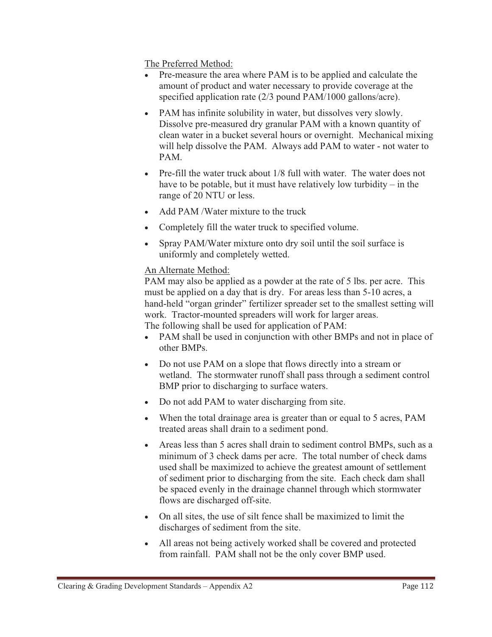The Preferred Method:

- - Pre-measure the area where PAM is to be applied and calculate the amount of product and water necessary to provide coverage at the specified application rate (2/3 pound PAM/1000 gallons/acre).
- PAM has infinite solubility in water, but dissolves very slowly. Dissolve pre-measured dry granular PAM with a known quantity of clean water in a bucket several hours or overnight. Mechanical mixing will help dissolve the PAM. Always add PAM to water - not water to PAM.
- Pre-fill the water truck about 1/8 full with water. The water does not have to be potable, but it must have relatively low turbidity – in the range of 20 NTU or less.
- Add PAM /Water mixture to the truck
- $\bullet$ Completely fill the water truck to specified volume.
- - Spray PAM/Water mixture onto dry soil until the soil surface is uniformly and completely wetted.

## An Alternate Method:

PAM may also be applied as a powder at the rate of 5 lbs. per acre. This must be applied on a day that is dry. For areas less than 5-10 acres, a hand-held "organ grinder" fertilizer spreader set to the smallest setting will work. Tractor-mounted spreaders will work for larger areas. The following shall be used for application of PAM:

- PAM shall be used in conjunction with other BMPs and not in place of other BMPs.
- Do not use PAM on a slope that flows directly into a stream or wetland. The stormwater runoff shall pass through a sediment control BMP prior to discharging to surface waters.
- Do not add PAM to water discharging from site.
- When the total drainage area is greater than or equal to 5 acres, PAM treated areas shall drain to a sediment pond.
- Areas less than 5 acres shall drain to sediment control BMPs, such as a minimum of 3 check dams per acre. The total number of check dams used shall be maximized to achieve the greatest amount of settlement of sediment prior to discharging from the site. Each check dam shall be spaced evenly in the drainage channel through which stormwater flows are discharged off-site.
- On all sites, the use of silt fence shall be maximized to limit the discharges of sediment from the site.
- All areas not being actively worked shall be covered and protected from rainfall. PAM shall not be the only cover BMP used.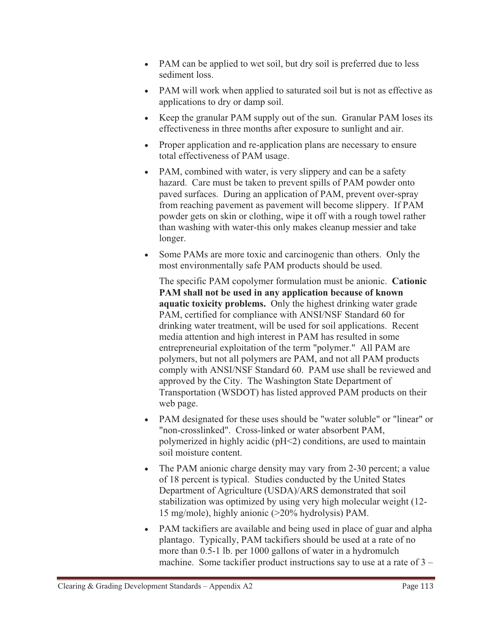- PAM can be applied to wet soil, but dry soil is preferred due to less sediment loss.
- PAM will work when applied to saturated soil but is not as effective as applications to dry or damp soil.
- Keep the granular PAM supply out of the sun. Granular PAM loses its effectiveness in three months after exposure to sunlight and air.
- Proper application and re-application plans are necessary to ensure total effectiveness of PAM usage.
- PAM, combined with water, is very slippery and can be a safety hazard. Care must be taken to prevent spills of PAM powder onto paved surfaces. During an application of PAM, prevent over-spray from reaching pavement as pavement will become slippery. If PAM powder gets on skin or clothing, wipe it off with a rough towel rather than washing with water-this only makes cleanup messier and take longer.
- $\bullet$  Some PAMs are more toxic and carcinogenic than others. Only the most environmentally safe PAM products should be used.

The specific PAM copolymer formulation must be anionic. **Cationic PAM shall not be used in any application because of known aquatic toxicity problems.** Only the highest drinking water grade PAM, certified for compliance with ANSI/NSF Standard 60 for drinking water treatment, will be used for soil applications. Recent media attention and high interest in PAM has resulted in some entrepreneurial exploitation of the term "polymer." All PAM are polymers, but not all polymers are PAM, and not all PAM products comply with ANSI/NSF Standard 60. PAM use shall be reviewed and approved by the City. The Washington State Department of Transportation (WSDOT) has listed approved PAM products on their web page.

- PAM designated for these uses should be "water soluble" or "linear" or "non-crosslinked". Cross-linked or water absorbent PAM, polymerized in highly acidic (pH<2) conditions, are used to maintain soil moisture content.
- - The PAM anionic charge density may vary from 2-30 percent; a value of 18 percent is typical. Studies conducted by the United States Department of Agriculture (USDA)/ARS demonstrated that soil stabilization was optimized by using very high molecular weight (12- 15 mg/mole), highly anionic (>20% hydrolysis) PAM.
- PAM tackifiers are available and being used in place of guar and alpha plantago. Typically, PAM tackifiers should be used at a rate of no more than 0.5-1 lb. per 1000 gallons of water in a hydromulch machine. Some tackifier product instructions say to use at a rate of  $3 -$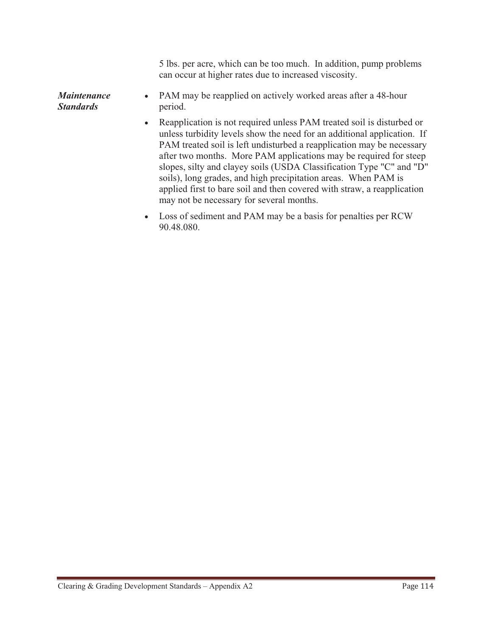5 lbs. per acre, which can be too much. In addition, pump problems can occur at higher rates due to increased viscosity.

*Maintenance Standards* - PAM may be reapplied on actively worked areas after a 48-hour period.

- Reapplication is not required unless PAM treated soil is disturbed or unless turbidity levels show the need for an additional application. If PAM treated soil is left undisturbed a reapplication may be necessary after two months. More PAM applications may be required for steep slopes, silty and clayey soils (USDA Classification Type "C" and "D" soils), long grades, and high precipitation areas. When PAM is applied first to bare soil and then covered with straw, a reapplication may not be necessary for several months.
- Loss of sediment and PAM may be a basis for penalties per RCW 90.48.080.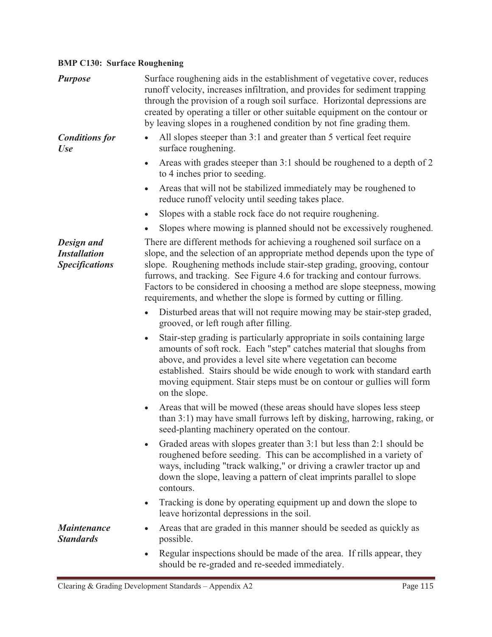## **BMP C130: Surface Roughening**

| <b>Purpose</b>                                                    | Surface roughening aids in the establishment of vegetative cover, reduces<br>runoff velocity, increases infiltration, and provides for sediment trapping<br>through the provision of a rough soil surface. Horizontal depressions are<br>created by operating a tiller or other suitable equipment on the contour or<br>by leaving slopes in a roughened condition by not fine grading them.                                                                     |
|-------------------------------------------------------------------|------------------------------------------------------------------------------------------------------------------------------------------------------------------------------------------------------------------------------------------------------------------------------------------------------------------------------------------------------------------------------------------------------------------------------------------------------------------|
| <b>Conditions for</b><br><b>Use</b>                               | All slopes steeper than 3:1 and greater than 5 vertical feet require<br>surface roughening.                                                                                                                                                                                                                                                                                                                                                                      |
|                                                                   | Areas with grades steeper than 3:1 should be roughened to a depth of 2<br>$\bullet$<br>to 4 inches prior to seeding.                                                                                                                                                                                                                                                                                                                                             |
|                                                                   | Areas that will not be stabilized immediately may be roughened to<br>$\bullet$<br>reduce runoff velocity until seeding takes place.                                                                                                                                                                                                                                                                                                                              |
|                                                                   | Slopes with a stable rock face do not require roughening.                                                                                                                                                                                                                                                                                                                                                                                                        |
|                                                                   | Slopes where mowing is planned should not be excessively roughened.                                                                                                                                                                                                                                                                                                                                                                                              |
| <b>Design and</b><br><b>Installation</b><br><b>Specifications</b> | There are different methods for achieving a roughened soil surface on a<br>slope, and the selection of an appropriate method depends upon the type of<br>slope. Roughening methods include stair-step grading, grooving, contour<br>furrows, and tracking. See Figure 4.6 for tracking and contour furrows.<br>Factors to be considered in choosing a method are slope steepness, mowing<br>requirements, and whether the slope is formed by cutting or filling. |
|                                                                   | Disturbed areas that will not require mowing may be stair-step graded,<br>$\bullet$<br>grooved, or left rough after filling.                                                                                                                                                                                                                                                                                                                                     |
|                                                                   | Stair-step grading is particularly appropriate in soils containing large<br>$\bullet$<br>amounts of soft rock. Each "step" catches material that sloughs from<br>above, and provides a level site where vegetation can become<br>established. Stairs should be wide enough to work with standard earth<br>moving equipment. Stair steps must be on contour or gullies will form<br>on the slope.                                                                 |
|                                                                   | Areas that will be mowed (these areas should have slopes less steep<br>$\bullet$<br>than 3:1) may have small furrows left by disking, harrowing, raking, or<br>seed-planting machinery operated on the contour.                                                                                                                                                                                                                                                  |
|                                                                   | Graded areas with slopes greater than 3:1 but less than 2:1 should be<br>$\bullet$<br>roughened before seeding. This can be accomplished in a variety of<br>ways, including "track walking," or driving a crawler tractor up and<br>down the slope, leaving a pattern of cleat imprints parallel to slope<br>contours.                                                                                                                                           |
|                                                                   | Tracking is done by operating equipment up and down the slope to<br>$\bullet$<br>leave horizontal depressions in the soil.                                                                                                                                                                                                                                                                                                                                       |
| <b>Maintenance</b><br><b>Standards</b>                            | Areas that are graded in this manner should be seeded as quickly as<br>possible.                                                                                                                                                                                                                                                                                                                                                                                 |
|                                                                   | Regular inspections should be made of the area. If rills appear, they<br>should be re-graded and re-seeded immediately.                                                                                                                                                                                                                                                                                                                                          |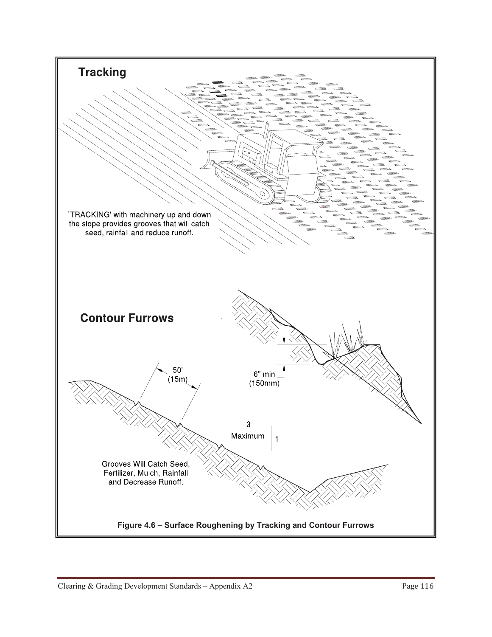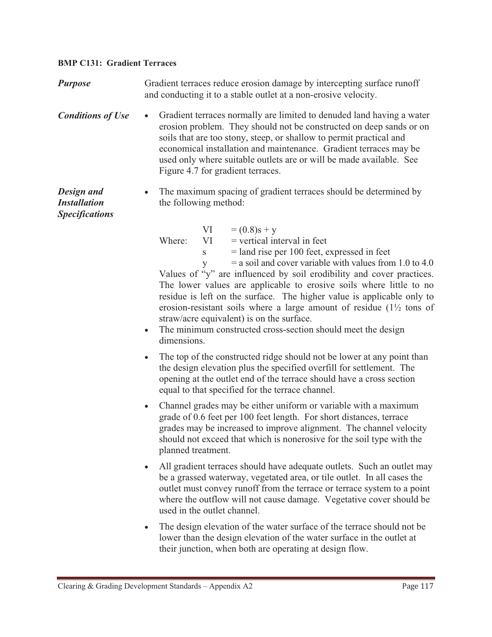#### **BMP C131: Gradient Terraces**

**Purpose** Gradient terraces reduce erosion damage by intercepting surface runoff and conducting it to a stable outlet at a non-erosive velocity. *Conditions of Use*  Gradient terraces normally are limited to denuded land having a water erosion problem. They should not be constructed on deep sands or on soils that are too stony, steep, or shallow to permit practical and economical installation and maintenance. Gradient terraces may be used only where suitable outlets are or will be made available. See Figure 4.7 for gradient terraces. *Design and Installation Specifications*  - The maximum spacing of gradient terraces should be determined by the following method:  $VI = (0.8)s + y$ Where:  $VI = vertical interval in feet$  $s =$ land rise per 100 feet, expressed in feet  $y = a$  soil and cover variable with values from 1.0 to 4.0 Values of "y" are influenced by soil erodibility and cover practices. The lower values are applicable to erosive soils where little to no residue is left on the surface. The higher value is applicable only to erosion-resistant soils where a large amount of residue (1½ tons of straw/acre equivalent) is on the surface. - The minimum constructed cross-section should meet the design dimensions.  $\bullet$  The top of the constructed ridge should not be lower at any point than the design elevation plus the specified overfill for settlement. The opening at the outlet end of the terrace should have a cross section equal to that specified for the terrace channel.  $\bullet$  Channel grades may be either uniform or variable with a maximum grade of 0.6 feet per 100 feet length. For short distances, terrace grades may be increased to improve alignment. The channel velocity should not exceed that which is nonerosive for the soil type with the planned treatment. - All gradient terraces should have adequate outlets. Such an outlet may be a grassed waterway, vegetated area, or tile outlet. In all cases the outlet must convey runoff from the terrace or terrace system to a point where the outflow will not cause damage. Vegetative cover should be used in the outlet channel. -The design elevation of the water surface of the terrace should not be

lower than the design elevation of the water surface in the outlet at their junction, when both are operating at design flow.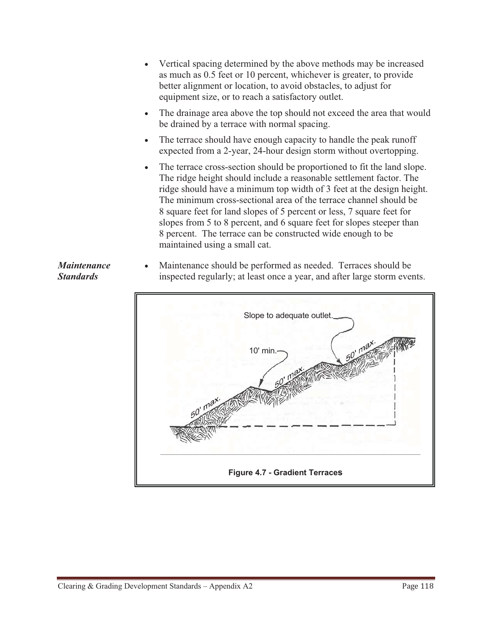- - Vertical spacing determined by the above methods may be increased as much as 0.5 feet or 10 percent, whichever is greater, to provide better alignment or location, to avoid obstacles, to adjust for equipment size, or to reach a satisfactory outlet.
- - The drainage area above the top should not exceed the area that would be drained by a terrace with normal spacing.
- - The terrace should have enough capacity to handle the peak runoff expected from a 2-year, 24-hour design storm without overtopping.
- - The terrace cross-section should be proportioned to fit the land slope. The ridge height should include a reasonable settlement factor. The ridge should have a minimum top width of 3 feet at the design height. The minimum cross-sectional area of the terrace channel should be 8 square feet for land slopes of 5 percent or less, 7 square feet for slopes from 5 to 8 percent, and 6 square feet for slopes steeper than 8 percent. The terrace can be constructed wide enough to be maintained using a small cat.
- - Maintenance should be performed as needed. Terraces should be inspected regularly; at least once a year, and after large storm events.



## *Maintenance Standards*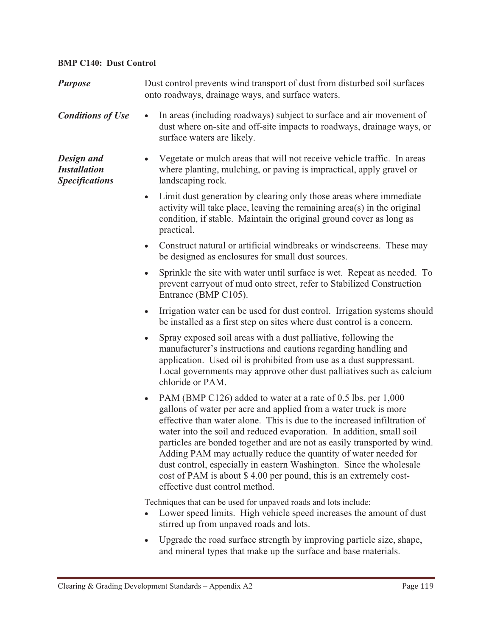### **BMP C140: Dust Control**

| <b>Purpose</b>                                                    | Dust control prevents wind transport of dust from disturbed soil surfaces<br>onto roadways, drainage ways, and surface waters.                                                                                                                                                                                                                                                                                                                                                                                                                                                                                                  |  |
|-------------------------------------------------------------------|---------------------------------------------------------------------------------------------------------------------------------------------------------------------------------------------------------------------------------------------------------------------------------------------------------------------------------------------------------------------------------------------------------------------------------------------------------------------------------------------------------------------------------------------------------------------------------------------------------------------------------|--|
| <b>Conditions of Use</b>                                          | In areas (including roadways) subject to surface and air movement of<br>dust where on-site and off-site impacts to roadways, drainage ways, or<br>surface waters are likely.                                                                                                                                                                                                                                                                                                                                                                                                                                                    |  |
| <b>Design and</b><br><b>Installation</b><br><b>Specifications</b> | Vegetate or mulch areas that will not receive vehicle traffic. In areas<br>where planting, mulching, or paving is impractical, apply gravel or<br>landscaping rock.                                                                                                                                                                                                                                                                                                                                                                                                                                                             |  |
|                                                                   | Limit dust generation by clearing only those areas where immediate<br>$\bullet$<br>activity will take place, leaving the remaining area(s) in the original<br>condition, if stable. Maintain the original ground cover as long as<br>practical.                                                                                                                                                                                                                                                                                                                                                                                 |  |
|                                                                   | Construct natural or artificial windbreaks or windscreens. These may<br>$\bullet$<br>be designed as enclosures for small dust sources.                                                                                                                                                                                                                                                                                                                                                                                                                                                                                          |  |
|                                                                   | Sprinkle the site with water until surface is wet. Repeat as needed. To<br>$\bullet$<br>prevent carryout of mud onto street, refer to Stabilized Construction<br>Entrance (BMP C105).                                                                                                                                                                                                                                                                                                                                                                                                                                           |  |
|                                                                   | Irrigation water can be used for dust control. Irrigation systems should<br>$\bullet$<br>be installed as a first step on sites where dust control is a concern.                                                                                                                                                                                                                                                                                                                                                                                                                                                                 |  |
|                                                                   | Spray exposed soil areas with a dust palliative, following the<br>$\bullet$<br>manufacturer's instructions and cautions regarding handling and<br>application. Used oil is prohibited from use as a dust suppressant.<br>Local governments may approve other dust palliatives such as calcium<br>chloride or PAM.                                                                                                                                                                                                                                                                                                               |  |
|                                                                   | PAM (BMP C126) added to water at a rate of 0.5 lbs. per 1,000<br>$\bullet$<br>gallons of water per acre and applied from a water truck is more<br>effective than water alone. This is due to the increased infiltration of<br>water into the soil and reduced evaporation. In addition, small soil<br>particles are bonded together and are not as easily transported by wind.<br>Adding PAM may actually reduce the quantity of water needed for<br>dust control, especially in eastern Washington. Since the wholesale<br>cost of PAM is about \$4.00 per pound, this is an extremely cost-<br>effective dust control method. |  |
|                                                                   | Techniques that can be used for unpaved roads and lots include:<br>Lower speed limits. High vehicle speed increases the amount of dust<br>stirred up from unpaved roads and lots.                                                                                                                                                                                                                                                                                                                                                                                                                                               |  |
|                                                                   |                                                                                                                                                                                                                                                                                                                                                                                                                                                                                                                                                                                                                                 |  |

- Upgrade the road surface strength by improving particle size, shape, and mineral types that make up the surface and base materials.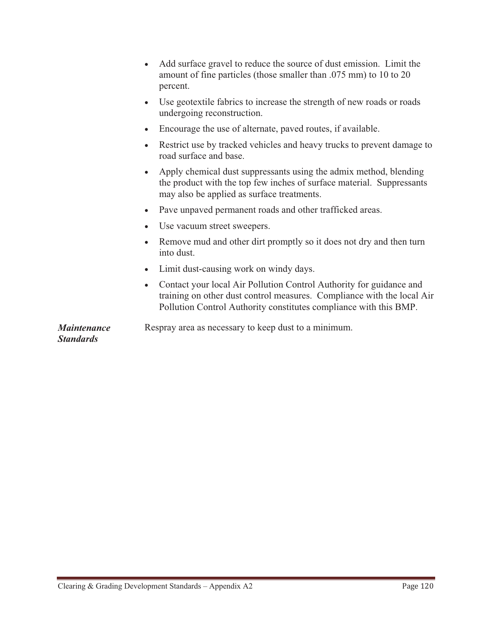$\bullet$  Add surface gravel to reduce the source of dust emission. Limit the amount of fine particles (those smaller than .075 mm) to 10 to 20 percent. - Use geotextile fabrics to increase the strength of new roads or roads undergoing reconstruction.  $\bullet$  Encourage the use of alternate, paved routes, if available. - Restrict use by tracked vehicles and heavy trucks to prevent damage to road surface and base. - Apply chemical dust suppressants using the admix method, blending the product with the top few inches of surface material. Suppressants may also be applied as surface treatments. - Pave unpaved permanent roads and other trafficked areas. - Use vacuum street sweepers. - Remove mud and other dirt promptly so it does not dry and then turn into dust. - Limit dust-causing work on windy days. - Contact your local Air Pollution Control Authority for guidance and training on other dust control measures. Compliance with the local Air Pollution Control Authority constitutes compliance with this BMP. *Maintenance Standards* Respray area as necessary to keep dust to a minimum.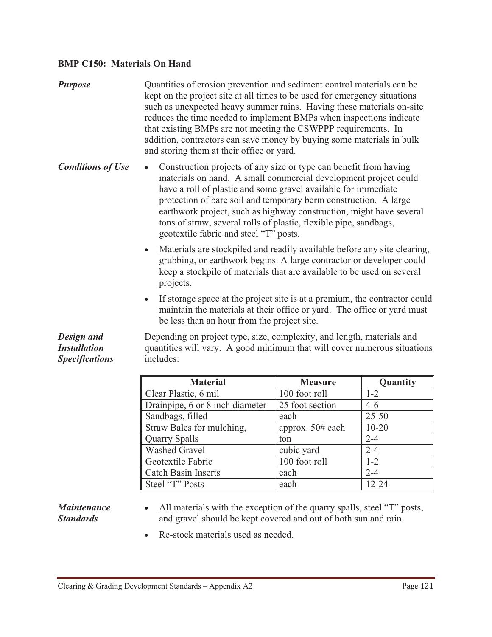#### **BMP C150: Materials On Hand**

- *Purpose* Quantities of erosion prevention and sediment control materials can be kept on the project site at all times to be used for emergency situations such as unexpected heavy summer rains. Having these materials on-site reduces the time needed to implement BMPs when inspections indicate that existing BMPs are not meeting the CSWPPP requirements. In addition, contractors can save money by buying some materials in bulk and storing them at their office or yard.
- *Conditions of Use*  Construction projects of any size or type can benefit from having materials on hand. A small commercial development project could have a roll of plastic and some gravel available for immediate protection of bare soil and temporary berm construction. A large earthwork project, such as highway construction, might have several tons of straw, several rolls of plastic, flexible pipe, sandbags, geotextile fabric and steel "T" posts.
	- Materials are stockpiled and readily available before any site clearing, grubbing, or earthwork begins. A large contractor or developer could keep a stockpile of materials that are available to be used on several projects.
	- If storage space at the project site is at a premium, the contractor could maintain the materials at their office or yard. The office or yard must be less than an hour from the project site.

*Design and Installation Specifications*  Depending on project type, size, complexity, and length, materials and quantities will vary. A good minimum that will cover numerous situations includes:

| <b>Material</b>                 | <b>Measure</b>      | Quantity  |
|---------------------------------|---------------------|-----------|
| Clear Plastic, 6 mil            | 100 foot roll       | $1 - 2$   |
| Drainpipe, 6 or 8 inch diameter | 25 foot section     | $4-6$     |
| Sandbags, filled                | each                | $25 - 50$ |
| Straw Bales for mulching,       | approx. $50\#$ each | $10 - 20$ |
| <b>Quarry Spalls</b>            | ton                 | $2 - 4$   |
| <b>Washed Gravel</b>            | cubic yard          | $2 - 4$   |
| Geotextile Fabric               | 100 foot roll       | $1 - 2$   |
| <b>Catch Basin Inserts</b>      | each                | $2 - 4$   |
| Steel "T" Posts                 | each                | $12 - 24$ |

*Maintenance Standards*

- $\bullet$  All materials with the exception of the quarry spalls, steel "T" posts, and gravel should be kept covered and out of both sun and rain.
- Re-stock materials used as needed.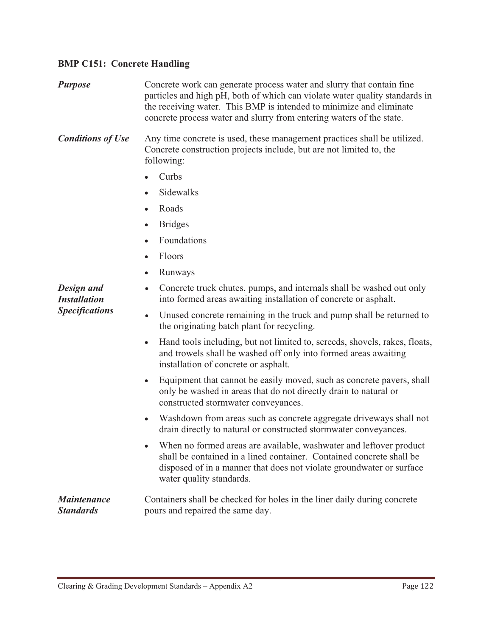## **BMP C151: Concrete Handling**

| <b>Purpose</b>                         | Concrete work can generate process water and slurry that contain fine<br>particles and high pH, both of which can violate water quality standards in<br>the receiving water. This BMP is intended to minimize and eliminate<br>concrete process water and slurry from entering waters of the state. |  |
|----------------------------------------|-----------------------------------------------------------------------------------------------------------------------------------------------------------------------------------------------------------------------------------------------------------------------------------------------------|--|
| <b>Conditions of Use</b>               | Any time concrete is used, these management practices shall be utilized.<br>Concrete construction projects include, but are not limited to, the<br>following:                                                                                                                                       |  |
|                                        | Curbs                                                                                                                                                                                                                                                                                               |  |
|                                        | Sidewalks                                                                                                                                                                                                                                                                                           |  |
|                                        | Roads                                                                                                                                                                                                                                                                                               |  |
|                                        | <b>Bridges</b><br>$\bullet$                                                                                                                                                                                                                                                                         |  |
|                                        | Foundations                                                                                                                                                                                                                                                                                         |  |
|                                        | Floors                                                                                                                                                                                                                                                                                              |  |
|                                        | Runways<br>٠                                                                                                                                                                                                                                                                                        |  |
| Design and<br><b>Installation</b>      | Concrete truck chutes, pumps, and internals shall be washed out only<br>$\bullet$<br>into formed areas awaiting installation of concrete or asphalt.                                                                                                                                                |  |
| <b>Specifications</b>                  | Unused concrete remaining in the truck and pump shall be returned to<br>$\bullet$<br>the originating batch plant for recycling.                                                                                                                                                                     |  |
|                                        | Hand tools including, but not limited to, screeds, shovels, rakes, floats,<br>and trowels shall be washed off only into formed areas awaiting<br>installation of concrete or asphalt.                                                                                                               |  |
|                                        | Equipment that cannot be easily moved, such as concrete pavers, shall<br>$\bullet$<br>only be washed in areas that do not directly drain to natural or<br>constructed stormwater conveyances.                                                                                                       |  |
|                                        | Washdown from areas such as concrete aggregate driveways shall not<br>$\bullet$<br>drain directly to natural or constructed stormwater conveyances.                                                                                                                                                 |  |
|                                        | When no formed areas are available, washwater and leftover product<br>shall be contained in a lined container. Contained concrete shall be<br>disposed of in a manner that does not violate groundwater or surface<br>water quality standards.                                                      |  |
| <i>Maintenance</i><br><b>Standards</b> | Containers shall be checked for holes in the liner daily during concrete<br>pours and repaired the same day.                                                                                                                                                                                        |  |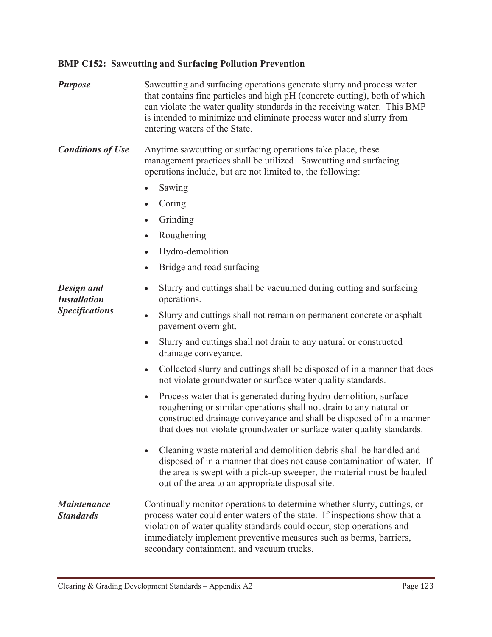## **BMP C152: Sawcutting and Surfacing Pollution Prevention**

*Purpose* Sawcutting and surfacing operations generate slurry and process water that contains fine particles and high pH (concrete cutting), both of which can violate the water quality standards in the receiving water. This BMP is intended to minimize and eliminate process water and slurry from entering waters of the State.

**Conditions of Use** Anytime sawcutting or surfacing operations take place, these management practices shall be utilized. Sawcutting and surfacing operations include, but are not limited to, the following:

- -Sawing
- Coring
- Grinding
- $\bullet$ Roughening
- -Hydro-demolition
- -Bridge and road surfacing

*Design and Installation Specifications*   $\bullet$  Slurry and cuttings shall be vacuumed during cutting and surfacing operations. - Slurry and cuttings shall not remain on permanent concrete or asphalt pavement overnight. - Slurry and cuttings shall not drain to any natural or constructed drainage conveyance.

- Collected slurry and cuttings shall be disposed of in a manner that does not violate groundwater or surface water quality standards.
- $\bullet$  Process water that is generated during hydro-demolition, surface roughening or similar operations shall not drain to any natural or constructed drainage conveyance and shall be disposed of in a manner that does not violate groundwater or surface water quality standards.
- Cleaning waste material and demolition debris shall be handled and disposed of in a manner that does not cause contamination of water. If the area is swept with a pick-up sweeper, the material must be hauled out of the area to an appropriate disposal site.

#### *Maintenance Standards* Continually monitor operations to determine whether slurry, cuttings, or process water could enter waters of the state. If inspections show that a violation of water quality standards could occur, stop operations and immediately implement preventive measures such as berms, barriers, secondary containment, and vacuum trucks.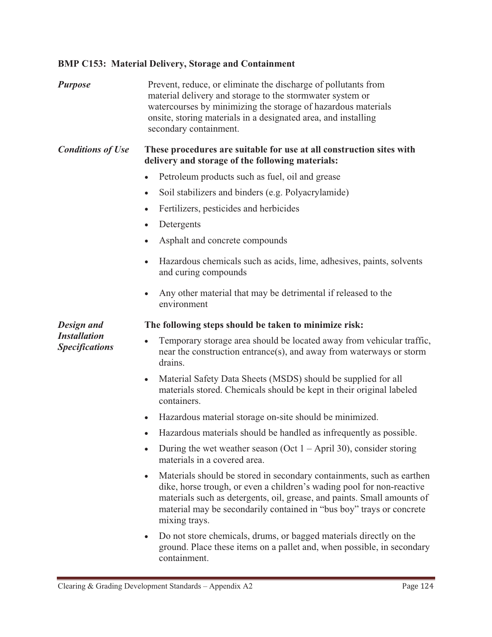## **BMP C153: Material Delivery, Storage and Containment**

| <b>Purpose</b>                               | Prevent, reduce, or eliminate the discharge of pollutants from<br>material delivery and storage to the stormwater system or<br>watercourses by minimizing the storage of hazardous materials<br>onsite, storing materials in a designated area, and installing<br>secondary containment.                                        |
|----------------------------------------------|---------------------------------------------------------------------------------------------------------------------------------------------------------------------------------------------------------------------------------------------------------------------------------------------------------------------------------|
| <b>Conditions of Use</b>                     | These procedures are suitable for use at all construction sites with<br>delivery and storage of the following materials:                                                                                                                                                                                                        |
|                                              | Petroleum products such as fuel, oil and grease                                                                                                                                                                                                                                                                                 |
|                                              | Soil stabilizers and binders (e.g. Polyacrylamide)<br>$\bullet$                                                                                                                                                                                                                                                                 |
|                                              | Fertilizers, pesticides and herbicides                                                                                                                                                                                                                                                                                          |
|                                              | Detergents<br>$\bullet$                                                                                                                                                                                                                                                                                                         |
|                                              | Asphalt and concrete compounds<br>$\bullet$                                                                                                                                                                                                                                                                                     |
|                                              | Hazardous chemicals such as acids, lime, adhesives, paints, solvents<br>and curing compounds                                                                                                                                                                                                                                    |
|                                              | Any other material that may be detrimental if released to the<br>$\bullet$<br>environment                                                                                                                                                                                                                                       |
| Design and                                   | The following steps should be taken to minimize risk:                                                                                                                                                                                                                                                                           |
| <b>Installation</b><br><b>Specifications</b> | Temporary storage area should be located away from vehicular traffic,<br>$\bullet$<br>near the construction entrance(s), and away from waterways or storm<br>drains.                                                                                                                                                            |
|                                              | Material Safety Data Sheets (MSDS) should be supplied for all<br>$\bullet$<br>materials stored. Chemicals should be kept in their original labeled<br>containers.                                                                                                                                                               |
|                                              | Hazardous material storage on-site should be minimized.<br>$\bullet$                                                                                                                                                                                                                                                            |
|                                              | • Hazardous materials should be handled as infrequently as possible.                                                                                                                                                                                                                                                            |
|                                              | During the wet weather season (Oct $1 -$ April 30), consider storing<br>$\bullet$<br>materials in a covered area.                                                                                                                                                                                                               |
|                                              | Materials should be stored in secondary containments, such as earthen<br>$\bullet$<br>dike, horse trough, or even a children's wading pool for non-reactive<br>materials such as detergents, oil, grease, and paints. Small amounts of<br>material may be secondarily contained in "bus boy" trays or concrete<br>mixing trays. |
|                                              | Do not store chemicals, drums, or bagged materials directly on the<br>$\bullet$<br>ground. Place these items on a pallet and, when possible, in secondary<br>containment.                                                                                                                                                       |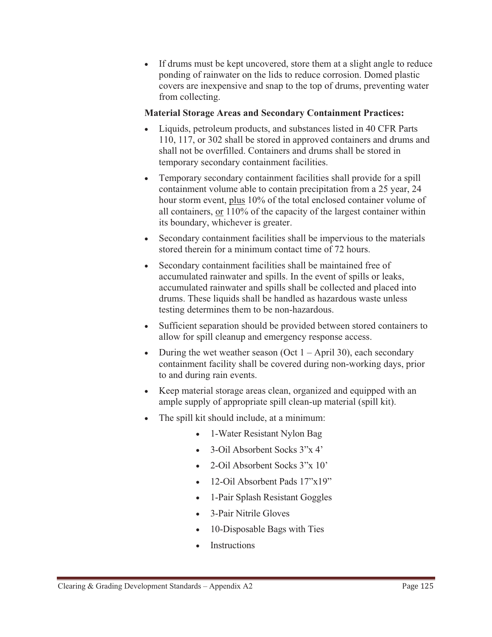$\bullet$  If drums must be kept uncovered, store them at a slight angle to reduce ponding of rainwater on the lids to reduce corrosion. Domed plastic covers are inexpensive and snap to the top of drums, preventing water from collecting.

### **Material Storage Areas and Secondary Containment Practices:**

- - Liquids, petroleum products, and substances listed in 40 CFR Parts 110, 117, or 302 shall be stored in approved containers and drums and shall not be overfilled. Containers and drums shall be stored in temporary secondary containment facilities.
- - Temporary secondary containment facilities shall provide for a spill containment volume able to contain precipitation from a 25 year, 24 hour storm event, plus 10% of the total enclosed container volume of all containers, or 110% of the capacity of the largest container within its boundary, whichever is greater.
- $\bullet$  Secondary containment facilities shall be impervious to the materials stored therein for a minimum contact time of 72 hours.
- $\bullet$  Secondary containment facilities shall be maintained free of accumulated rainwater and spills. In the event of spills or leaks, accumulated rainwater and spills shall be collected and placed into drums. These liquids shall be handled as hazardous waste unless testing determines them to be non-hazardous.
- Sufficient separation should be provided between stored containers to allow for spill cleanup and emergency response access.
- $\bullet$ During the wet weather season (Oct  $1 -$ April 30), each secondary containment facility shall be covered during non-working days, prior to and during rain events.
- $\bullet$  Keep material storage areas clean, organized and equipped with an ample supply of appropriate spill clean-up material (spill kit).
- The spill kit should include, at a minimum:
	- 1-Water Resistant Nylon Bag
	- 3-Oil Absorbent Socks 3"x 4'
	- $\bullet$ 2-Oil Absorbent Socks 3"x 10'
	- -12-Oil Absorbent Pads 17"x19"
	- $\bullet$ 1-Pair Splash Resistant Goggles
	- $\bullet$ 3-Pair Nitrile Gloves
	- -10-Disposable Bags with Ties
	- -Instructions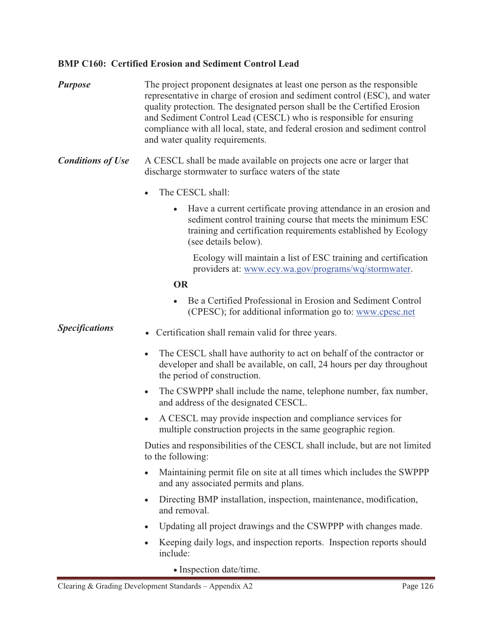## **BMP C160: Certified Erosion and Sediment Control Lead**

| <b>Purpose</b>           | The project proponent designates at least one person as the responsible<br>representative in charge of erosion and sediment control (ESC), and water<br>quality protection. The designated person shall be the Certified Erosion<br>and Sediment Control Lead (CESCL) who is responsible for ensuring<br>compliance with all local, state, and federal erosion and sediment control<br>and water quality requirements. |
|--------------------------|------------------------------------------------------------------------------------------------------------------------------------------------------------------------------------------------------------------------------------------------------------------------------------------------------------------------------------------------------------------------------------------------------------------------|
| <b>Conditions of Use</b> | A CESCL shall be made available on projects one acre or larger that<br>discharge stormwater to surface waters of the state                                                                                                                                                                                                                                                                                             |
|                          | The CESCL shall:                                                                                                                                                                                                                                                                                                                                                                                                       |
|                          | Have a current certificate proving attendance in an erosion and<br>$\bullet$<br>sediment control training course that meets the minimum ESC<br>training and certification requirements established by Ecology<br>(see details below).                                                                                                                                                                                  |
|                          | Ecology will maintain a list of ESC training and certification<br>providers at: www.ecy.wa.gov/programs/wq/stormwater.                                                                                                                                                                                                                                                                                                 |
|                          | <b>OR</b>                                                                                                                                                                                                                                                                                                                                                                                                              |
|                          | Be a Certified Professional in Erosion and Sediment Control<br>(CPESC); for additional information go to: www.cpesc.net                                                                                                                                                                                                                                                                                                |
| <b>Specifications</b>    | Certification shall remain valid for three years.<br>$\bullet$                                                                                                                                                                                                                                                                                                                                                         |
|                          | The CESCL shall have authority to act on behalf of the contractor or<br>developer and shall be available, on call, 24 hours per day throughout<br>the period of construction.                                                                                                                                                                                                                                          |
|                          | The CSWPPP shall include the name, telephone number, fax number,<br>$\bullet$<br>and address of the designated CESCL.                                                                                                                                                                                                                                                                                                  |
|                          | A CESCL may provide inspection and compliance services for<br>$\bullet$<br>multiple construction projects in the same geographic region.                                                                                                                                                                                                                                                                               |
|                          | Duties and responsibilities of the CESCL shall include, but are not limited<br>to the following:                                                                                                                                                                                                                                                                                                                       |
|                          | Maintaining permit file on site at all times which includes the SWPPP<br>and any associated permits and plans.                                                                                                                                                                                                                                                                                                         |
|                          | Directing BMP installation, inspection, maintenance, modification,<br>$\bullet$<br>and removal.                                                                                                                                                                                                                                                                                                                        |
|                          | Updating all project drawings and the CSWPPP with changes made.                                                                                                                                                                                                                                                                                                                                                        |
|                          | Keeping daily logs, and inspection reports. Inspection reports should<br>include:                                                                                                                                                                                                                                                                                                                                      |

- Inspection date/time.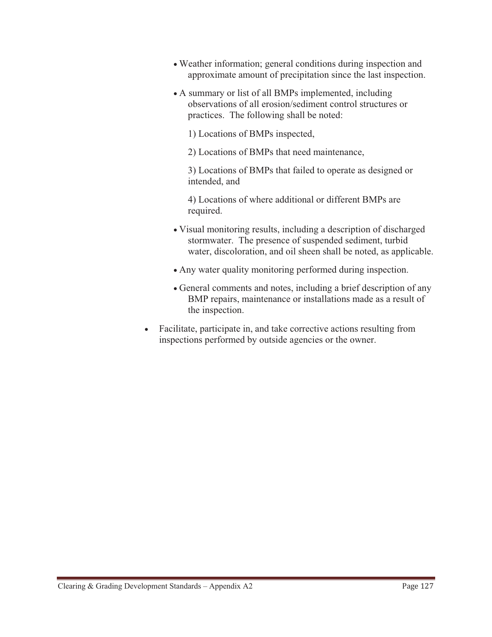- Weather information; general conditions during inspection and approximate amount of precipitation since the last inspection.
- A summary or list of all BMPs implemented, including observations of all erosion/sediment control structures or practices. The following shall be noted:

1) Locations of BMPs inspected,

2) Locations of BMPs that need maintenance,

3) Locations of BMPs that failed to operate as designed or intended, and

4) Locations of where additional or different BMPs are required.

- Visual monitoring results, including a description of discharged stormwater. The presence of suspended sediment, turbid water, discoloration, and oil sheen shall be noted, as applicable.
- Any water quality monitoring performed during inspection.
- General comments and notes, including a brief description of any BMP repairs, maintenance or installations made as a result of the inspection.
- $\bullet$  Facilitate, participate in, and take corrective actions resulting from inspections performed by outside agencies or the owner.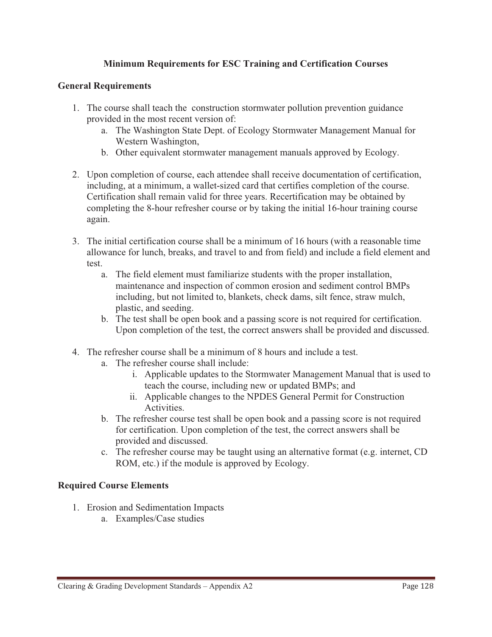## **Minimum Requirements for ESC Training and Certification Courses**

#### **General Requirements**

- 1. The course shall teach the construction stormwater pollution prevention guidance provided in the most recent version of:
	- a. The Washington State Dept. of Ecology Stormwater Management Manual for Western Washington,
	- b. Other equivalent stormwater management manuals approved by Ecology.
- 2. Upon completion of course, each attendee shall receive documentation of certification, including, at a minimum, a wallet-sized card that certifies completion of the course. Certification shall remain valid for three years. Recertification may be obtained by completing the 8-hour refresher course or by taking the initial 16-hour training course again.
- 3. The initial certification course shall be a minimum of 16 hours (with a reasonable time allowance for lunch, breaks, and travel to and from field) and include a field element and test.
	- a. The field element must familiarize students with the proper installation, maintenance and inspection of common erosion and sediment control BMPs including, but not limited to, blankets, check dams, silt fence, straw mulch, plastic, and seeding.
	- b. The test shall be open book and a passing score is not required for certification. Upon completion of the test, the correct answers shall be provided and discussed.
- 4. The refresher course shall be a minimum of 8 hours and include a test.
	- a. The refresher course shall include:
		- i. Applicable updates to the Stormwater Management Manual that is used to teach the course, including new or updated BMPs; and
		- ii. Applicable changes to the NPDES General Permit for Construction Activities.
	- b. The refresher course test shall be open book and a passing score is not required for certification. Upon completion of the test, the correct answers shall be provided and discussed.
	- c. The refresher course may be taught using an alternative format (e.g. internet, CD ROM, etc.) if the module is approved by Ecology.

## **Required Course Elements**

- 1. Erosion and Sedimentation Impacts
	- a. Examples/Case studies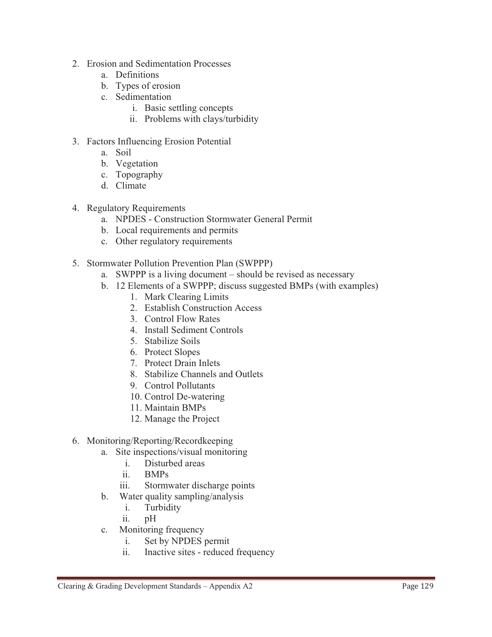- 2. Erosion and Sedimentation Processes
	- a. Definitions
	- b. Types of erosion
	- c. Sedimentation
		- i. Basic settling concepts
		- ii. Problems with clays/turbidity
- 3. Factors Influencing Erosion Potential
	- a. Soil
	- b. Vegetation
	- c. Topography
	- d. Climate
- 4. Regulatory Requirements
	- a. NPDES Construction Stormwater General Permit
	- b. Local requirements and permits
	- c. Other regulatory requirements
- 5. Stormwater Pollution Prevention Plan (SWPPP)
	- a. SWPPP is a living document should be revised as necessary
	- b. 12 Elements of a SWPPP; discuss suggested BMPs (with examples)
		- 1. Mark Clearing Limits
		- 2. Establish Construction Access
		- 3. Control Flow Rates
		- 4. Install Sediment Controls
		- 5. Stabilize Soils
		- 6. Protect Slopes
		- 7. Protect Drain Inlets
		- 8. Stabilize Channels and Outlets
		- 9. Control Pollutants
		- 10. Control De-watering
		- 11. Maintain BMPs
		- 12. Manage the Project
- 6. Monitoring/Reporting/Recordkeeping
	- a. Site inspections/visual monitoring
		- i. Disturbed areas
		- ii. BMPs
		- iii. Stormwater discharge points
	- b. Water quality sampling/analysis
		- i. Turbidity
		- ii. pH
	- c. Monitoring frequency
		- i. Set by NPDES permit
		- ii. Inactive sites reduced frequency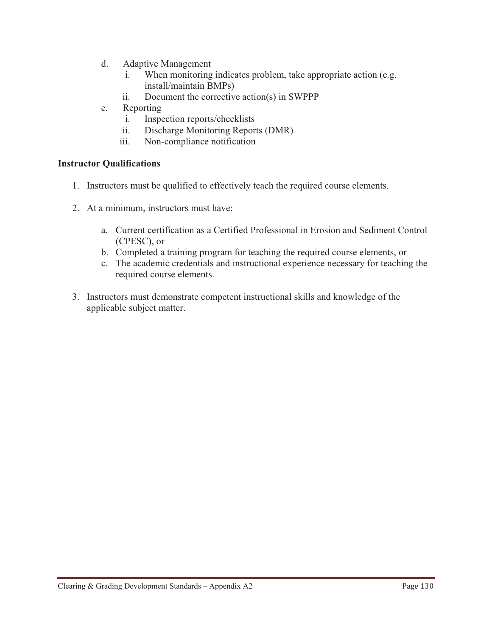- d. Adaptive Management
	- i. When monitoring indicates problem, take appropriate action (e.g. install/maintain BMPs)
	- ii. Document the corrective action(s) in SWPPP
- e. Reporting
	- i. Inspection reports/checklists
	- ii. Discharge Monitoring Reports (DMR)
	- iii. Non-compliance notification

### **Instructor Qualifications**

- 1. Instructors must be qualified to effectively teach the required course elements.
- 2. At a minimum, instructors must have:
	- a. Current certification as a Certified Professional in Erosion and Sediment Control (CPESC), or
	- b. Completed a training program for teaching the required course elements, or
	- c. The academic credentials and instructional experience necessary for teaching the required course elements.
- 3. Instructors must demonstrate competent instructional skills and knowledge of the applicable subject matter.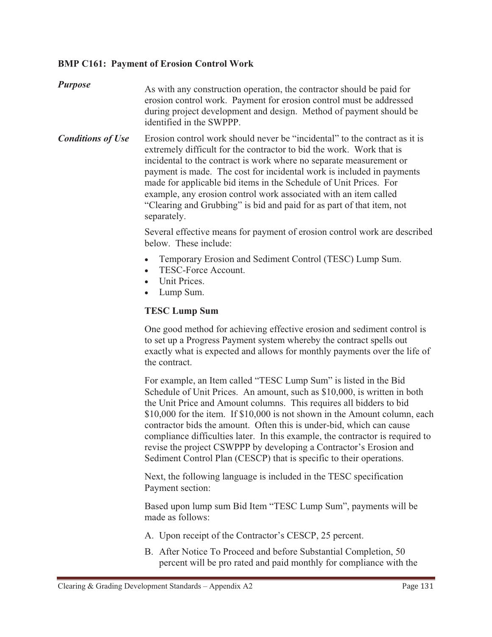## **BMP C161: Payment of Erosion Control Work**

*Purpose* As with any construction operation, the contractor should be paid for erosion control work. Payment for erosion control must be addressed during project development and design. Method of payment should be identified in the SWPPP.

**Conditions of Use** Erosion control work should never be "incidental" to the contract as it is extremely difficult for the contractor to bid the work. Work that is incidental to the contract is work where no separate measurement or payment is made. The cost for incidental work is included in payments made for applicable bid items in the Schedule of Unit Prices. For example, any erosion control work associated with an item called "Clearing and Grubbing" is bid and paid for as part of that item, not separately.

> Several effective means for payment of erosion control work are described below. These include:

- $\bullet$ Temporary Erosion and Sediment Control (TESC) Lump Sum.
- -TESC-Force Account.
- Unit Prices.
- Lump Sum.

#### **TESC Lump Sum**

One good method for achieving effective erosion and sediment control is to set up a Progress Payment system whereby the contract spells out exactly what is expected and allows for monthly payments over the life of the contract.

For example, an Item called "TESC Lump Sum" is listed in the Bid Schedule of Unit Prices. An amount, such as \$10,000, is written in both the Unit Price and Amount columns. This requires all bidders to bid \$10,000 for the item. If \$10,000 is not shown in the Amount column, each contractor bids the amount. Often this is under-bid, which can cause compliance difficulties later. In this example, the contractor is required to revise the project CSWPPP by developing a Contractor's Erosion and Sediment Control Plan (CESCP) that is specific to their operations.

Next, the following language is included in the TESC specification Payment section:

Based upon lump sum Bid Item "TESC Lump Sum", payments will be made as follows:

- A. Upon receipt of the Contractor's CESCP, 25 percent.
- B. After Notice To Proceed and before Substantial Completion, 50 percent will be pro rated and paid monthly for compliance with the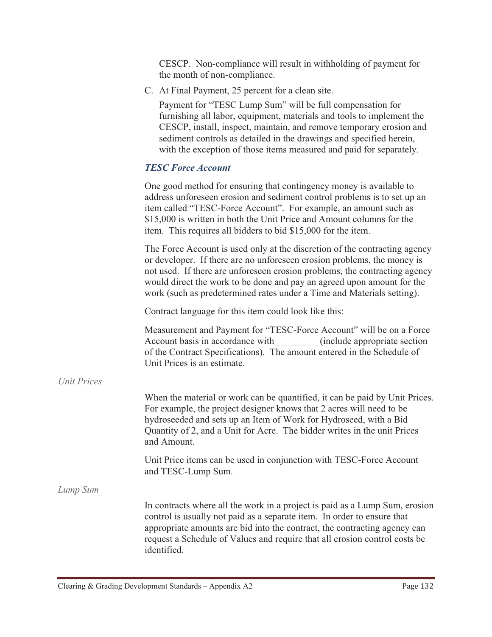CESCP. Non-compliance will result in withholding of payment for the month of non-compliance.

C. At Final Payment, 25 percent for a clean site.

Payment for "TESC Lump Sum" will be full compensation for furnishing all labor, equipment, materials and tools to implement the CESCP, install, inspect, maintain, and remove temporary erosion and sediment controls as detailed in the drawings and specified herein, with the exception of those items measured and paid for separately.

## *TESC Force Account*

|                    | One good method for ensuring that contingency money is available to<br>address unforeseen erosion and sediment control problems is to set up an<br>item called "TESC-Force Account". For example, an amount such as<br>\$15,000 is written in both the Unit Price and Amount columns for the<br>item. This requires all bidders to bid \$15,000 for the item.                           |
|--------------------|-----------------------------------------------------------------------------------------------------------------------------------------------------------------------------------------------------------------------------------------------------------------------------------------------------------------------------------------------------------------------------------------|
|                    | The Force Account is used only at the discretion of the contracting agency<br>or developer. If there are no unforeseen erosion problems, the money is<br>not used. If there are unforeseen erosion problems, the contracting agency<br>would direct the work to be done and pay an agreed upon amount for the<br>work (such as predetermined rates under a Time and Materials setting). |
|                    | Contract language for this item could look like this:                                                                                                                                                                                                                                                                                                                                   |
|                    | Measurement and Payment for "TESC-Force Account" will be on a Force<br>Account basis in accordance with<br>(include appropriate section)<br>of the Contract Specifications). The amount entered in the Schedule of<br>Unit Prices is an estimate.                                                                                                                                       |
| <b>Unit Prices</b> |                                                                                                                                                                                                                                                                                                                                                                                         |
|                    | When the material or work can be quantified, it can be paid by Unit Prices.<br>For example, the project designer knows that 2 acres will need to be<br>hydroseeded and sets up an Item of Work for Hydroseed, with a Bid<br>Quantity of 2, and a Unit for Acre. The bidder writes in the unit Prices<br>and Amount.                                                                     |
|                    | Unit Price items can be used in conjunction with TESC-Force Account<br>and TESC-Lump Sum.                                                                                                                                                                                                                                                                                               |
| Lump Sum           |                                                                                                                                                                                                                                                                                                                                                                                         |
|                    | In contracts where all the work in a project is paid as a Lump Sum, erosion<br>control is usually not paid as a separate item. In order to ensure that<br>appropriate amounts are bid into the contract, the contracting agency can<br>request a Schedule of Values and require that all erosion control costs be<br>identified.                                                        |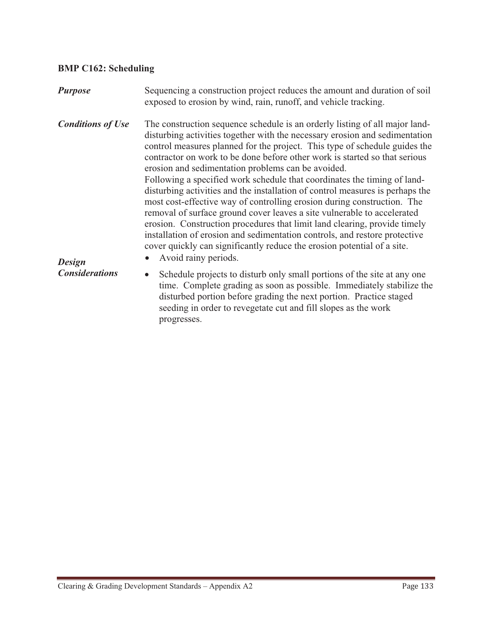## **BMP C162: Scheduling**

| <b>Purpose</b>                                                                                 | Sequencing a construction project reduces the amount and duration of soil<br>exposed to erosion by wind, rain, runoff, and vehicle tracking.                                                                                                                                                                                                                                                                                                                                                                                                                                                                                                                                                                                                                                                                                                                                                                                                                  |
|------------------------------------------------------------------------------------------------|---------------------------------------------------------------------------------------------------------------------------------------------------------------------------------------------------------------------------------------------------------------------------------------------------------------------------------------------------------------------------------------------------------------------------------------------------------------------------------------------------------------------------------------------------------------------------------------------------------------------------------------------------------------------------------------------------------------------------------------------------------------------------------------------------------------------------------------------------------------------------------------------------------------------------------------------------------------|
| <b>Conditions of Use</b><br><b>Design</b><br><b>Considerations</b><br>$\bullet$<br>progresses. | The construction sequence schedule is an orderly listing of all major land-<br>disturbing activities together with the necessary erosion and sedimentation<br>control measures planned for the project. This type of schedule guides the<br>contractor on work to be done before other work is started so that serious<br>erosion and sedimentation problems can be avoided.<br>Following a specified work schedule that coordinates the timing of land-<br>disturbing activities and the installation of control measures is perhaps the<br>most cost-effective way of controlling erosion during construction. The<br>removal of surface ground cover leaves a site vulnerable to accelerated<br>erosion. Construction procedures that limit land clearing, provide timely<br>installation of erosion and sedimentation controls, and restore protective<br>cover quickly can significantly reduce the erosion potential of a site.<br>Avoid rainy periods. |
|                                                                                                | Schedule projects to disturb only small portions of the site at any one<br>time. Complete grading as soon as possible. Immediately stabilize the<br>disturbed portion before grading the next portion. Practice staged<br>seeding in order to revegetate cut and fill slopes as the work                                                                                                                                                                                                                                                                                                                                                                                                                                                                                                                                                                                                                                                                      |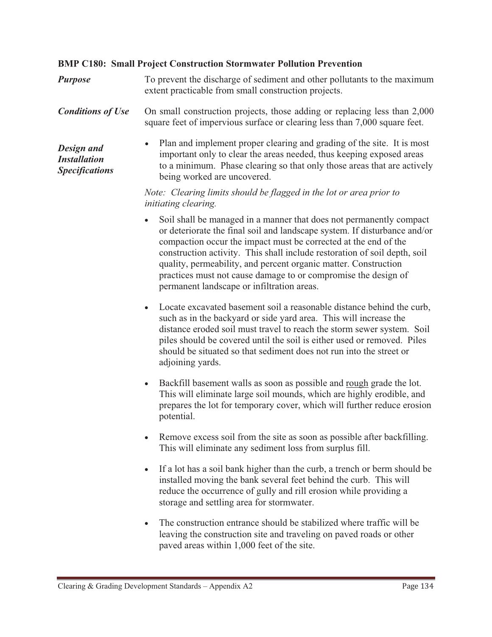#### **BMP C180: Small Project Construction Stormwater Pollution Prevention**

*Purpose* To prevent the discharge of sediment and other pollutants to the maximum extent practicable from small construction projects.

**Conditions of Use** On small construction projects, those adding or replacing less than 2,000 square feet of impervious surface or clearing less than 7,000 square feet.

*Design and Installation Specifications*  - Plan and implement proper clearing and grading of the site. It is most important only to clear the areas needed, thus keeping exposed areas to a minimum. Phase clearing so that only those areas that are actively being worked are uncovered.

> *Note: Clearing limits should be flagged in the lot or area prior to initiating clearing.*

- Soil shall be managed in a manner that does not permanently compact or deteriorate the final soil and landscape system. If disturbance and/or compaction occur the impact must be corrected at the end of the construction activity. This shall include restoration of soil depth, soil quality, permeability, and percent organic matter. Construction practices must not cause damage to or compromise the design of permanent landscape or infiltration areas.
- Locate excavated basement soil a reasonable distance behind the curb, such as in the backyard or side yard area. This will increase the distance eroded soil must travel to reach the storm sewer system. Soil piles should be covered until the soil is either used or removed. Piles should be situated so that sediment does not run into the street or adjoining yards.
- $\bullet$  Backfill basement walls as soon as possible and rough grade the lot. This will eliminate large soil mounds, which are highly erodible, and prepares the lot for temporary cover, which will further reduce erosion potential.
- Remove excess soil from the site as soon as possible after backfilling. This will eliminate any sediment loss from surplus fill.
- If a lot has a soil bank higher than the curb, a trench or berm should be installed moving the bank several feet behind the curb. This will reduce the occurrence of gully and rill erosion while providing a storage and settling area for stormwater.
- The construction entrance should be stabilized where traffic will be leaving the construction site and traveling on paved roads or other paved areas within 1,000 feet of the site.